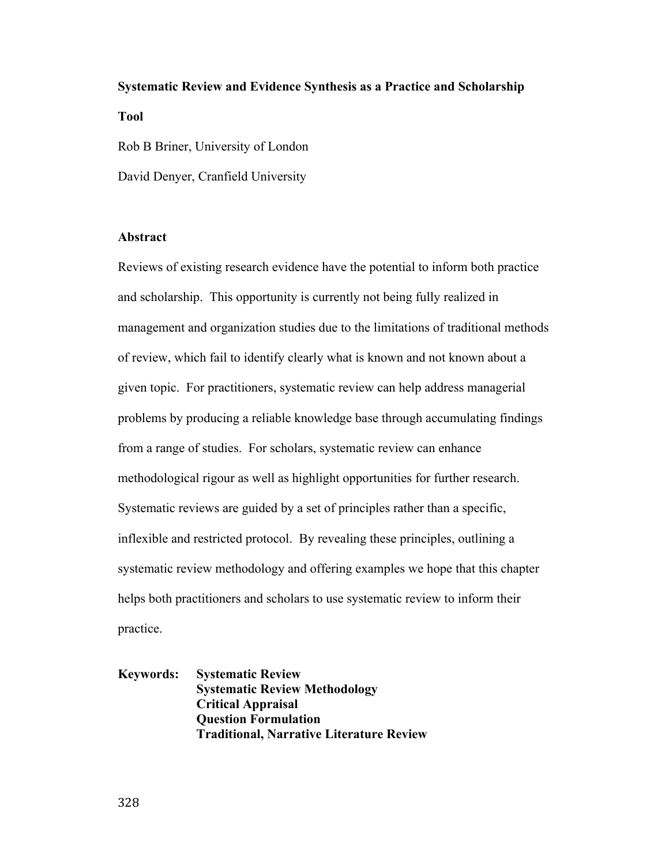# **Systematic Review and Evidence Synthesis as a Practice and Scholarship Tool** Rob B Briner, University of London

David Denyer, Cranfield University

#### **Abstract**

Reviews of existing research evidence have the potential to inform both practice and scholarship. This opportunity is currently not being fully realized in management and organization studies due to the limitations of traditional methods of review, which fail to identify clearly what is known and not known about a given topic. For practitioners, systematic review can help address managerial problems by producing a reliable knowledge base through accumulating findings from a range of studies. For scholars, systematic review can enhance methodological rigour as well as highlight opportunities for further research. Systematic reviews are guided by a set of principles rather than a specific, inflexible and restricted protocol. By revealing these principles, outlining a systematic review methodology and offering examples we hope that this chapter helps both practitioners and scholars to use systematic review to inform their practice.

**Keywords: Systematic Review Systematic Review Methodology Critical Appraisal Question Formulation Traditional, Narrative Literature Review**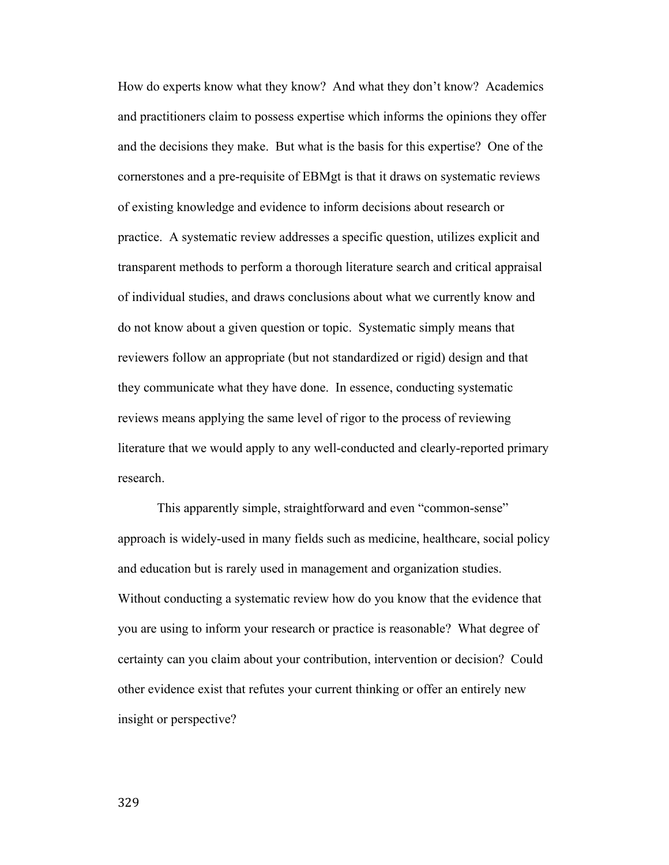How do experts know what they know? And what they don't know? Academics and practitioners claim to possess expertise which informs the opinions they offer and the decisions they make. But what is the basis for this expertise? One of the cornerstones and a pre-requisite of EBMgt is that it draws on systematic reviews of existing knowledge and evidence to inform decisions about research or practice. A systematic review addresses a specific question, utilizes explicit and transparent methods to perform a thorough literature search and critical appraisal of individual studies, and draws conclusions about what we currently know and do not know about a given question or topic. Systematic simply means that reviewers follow an appropriate (but not standardized or rigid) design and that they communicate what they have done. In essence, conducting systematic reviews means applying the same level of rigor to the process of reviewing literature that we would apply to any well-conducted and clearly-reported primary research.

This apparently simple, straightforward and even "common-sense" approach is widely-used in many fields such as medicine, healthcare, social policy and education but is rarely used in management and organization studies. Without conducting a systematic review how do you know that the evidence that you are using to inform your research or practice is reasonable? What degree of certainty can you claim about your contribution, intervention or decision? Could other evidence exist that refutes your current thinking or offer an entirely new insight or perspective?

329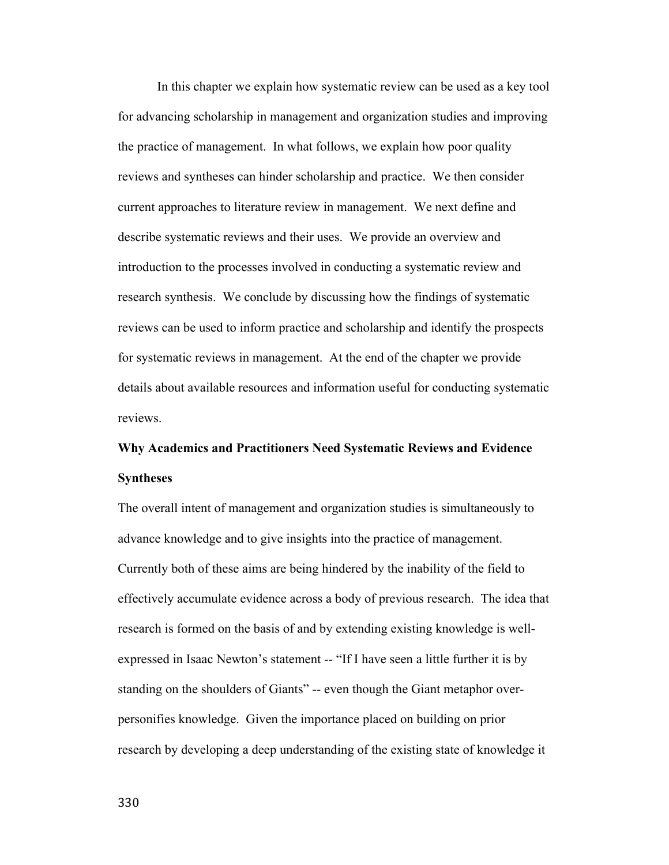In this chapter we explain how systematic review can be used as a key tool for advancing scholarship in management and organization studies and improving the practice of management. In what follows, we explain how poor quality reviews and syntheses can hinder scholarship and practice. We then consider current approaches to literature review in management. We next define and describe systematic reviews and their uses. We provide an overview and introduction to the processes involved in conducting a systematic review and research synthesis. We conclude by discussing how the findings of systematic reviews can be used to inform practice and scholarship and identify the prospects for systematic reviews in management. At the end of the chapter we provide details about available resources and information useful for conducting systematic reviews.

# **Why Academics and Practitioners Need Systematic Reviews and Evidence Syntheses**

The overall intent of management and organization studies is simultaneously to advance knowledge and to give insights into the practice of management. Currently both of these aims are being hindered by the inability of the field to effectively accumulate evidence across a body of previous research. The idea that research is formed on the basis of and by extending existing knowledge is wellexpressed in Isaac Newton's statement -- "If I have seen a little further it is by standing on the shoulders of Giants" -- even though the Giant metaphor overpersonifies knowledge. Given the importance placed on building on prior research by developing a deep understanding of the existing state of knowledge it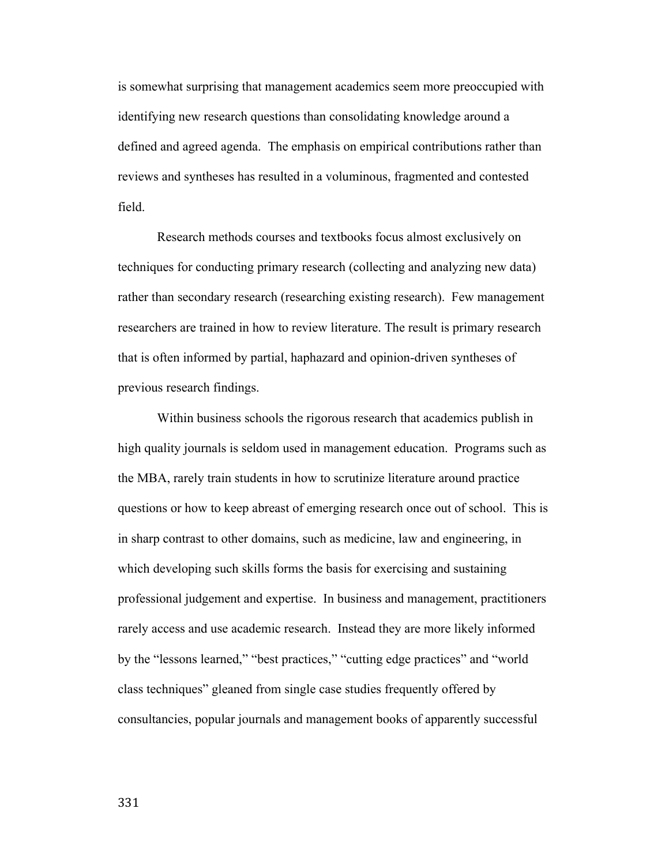is somewhat surprising that management academics seem more preoccupied with identifying new research questions than consolidating knowledge around a defined and agreed agenda. The emphasis on empirical contributions rather than reviews and syntheses has resulted in a voluminous, fragmented and contested field.

Research methods courses and textbooks focus almost exclusively on techniques for conducting primary research (collecting and analyzing new data) rather than secondary research (researching existing research). Few management researchers are trained in how to review literature. The result is primary research that is often informed by partial, haphazard and opinion-driven syntheses of previous research findings.

Within business schools the rigorous research that academics publish in high quality journals is seldom used in management education. Programs such as the MBA, rarely train students in how to scrutinize literature around practice questions or how to keep abreast of emerging research once out of school. This is in sharp contrast to other domains, such as medicine, law and engineering, in which developing such skills forms the basis for exercising and sustaining professional judgement and expertise. In business and management, practitioners rarely access and use academic research. Instead they are more likely informed by the "lessons learned," "best practices," "cutting edge practices" and "world class techniques" gleaned from single case studies frequently offered by consultancies, popular journals and management books of apparently successful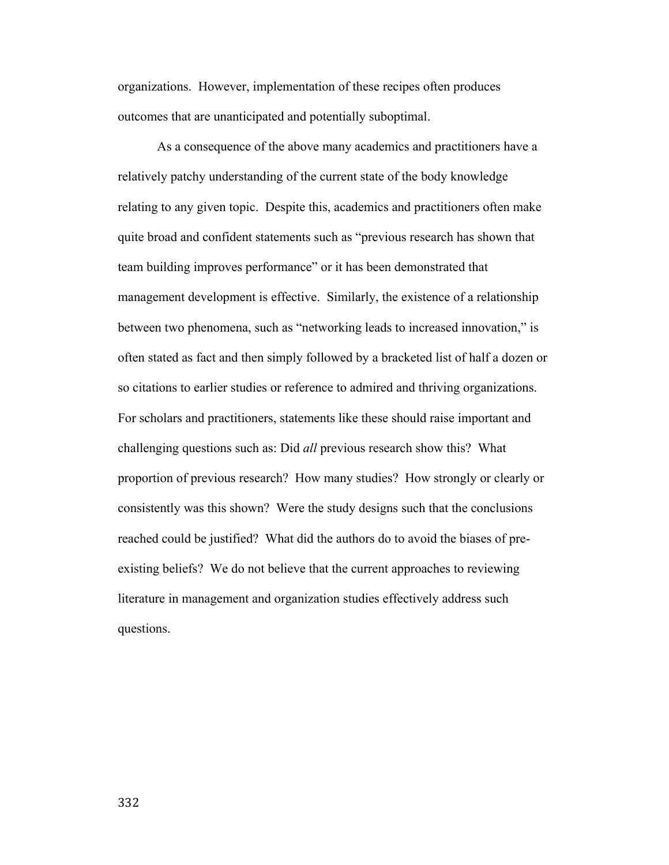organizations. However, implementation of these recipes often produces outcomes that are unanticipated and potentially suboptimal.

As a consequence of the above many academics and practitioners have a relatively patchy understanding of the current state of the body knowledge relating to any given topic. Despite this, academics and practitioners often make quite broad and confident statements such as "previous research has shown that team building improves performance" or it has been demonstrated that management development is effective. Similarly, the existence of a relationship between two phenomena, such as "networking leads to increased innovation," is often stated as fact and then simply followed by a bracketed list of half a dozen or so citations to earlier studies or reference to admired and thriving organizations. For scholars and practitioners, statements like these should raise important and challenging questions such as: Did *all* previous research show this? What proportion of previous research? How many studies? How strongly or clearly or consistently was this shown? Were the study designs such that the conclusions reached could be justified? What did the authors do to avoid the biases of preexisting beliefs? We do not believe that the current approaches to reviewing literature in management and organization studies effectively address such questions.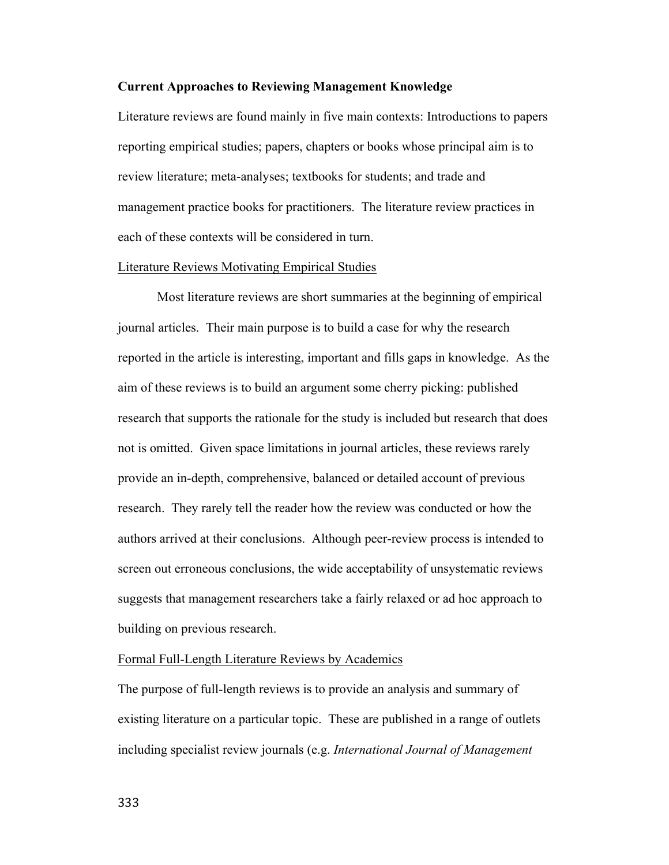# **Current Approaches to Reviewing Management Knowledge**

Literature reviews are found mainly in five main contexts: Introductions to papers reporting empirical studies; papers, chapters or books whose principal aim is to review literature; meta-analyses; textbooks for students; and trade and management practice books for practitioners. The literature review practices in each of these contexts will be considered in turn.

#### Literature Reviews Motivating Empirical Studies

Most literature reviews are short summaries at the beginning of empirical journal articles. Their main purpose is to build a case for why the research reported in the article is interesting, important and fills gaps in knowledge. As the aim of these reviews is to build an argument some cherry picking: published research that supports the rationale for the study is included but research that does not is omitted. Given space limitations in journal articles, these reviews rarely provide an in-depth, comprehensive, balanced or detailed account of previous research. They rarely tell the reader how the review was conducted or how the authors arrived at their conclusions. Although peer-review process is intended to screen out erroneous conclusions, the wide acceptability of unsystematic reviews suggests that management researchers take a fairly relaxed or ad hoc approach to building on previous research.

#### Formal Full-Length Literature Reviews by Academics

The purpose of full-length reviews is to provide an analysis and summary of existing literature on a particular topic. These are published in a range of outlets including specialist review journals (e.g. *International Journal of Management*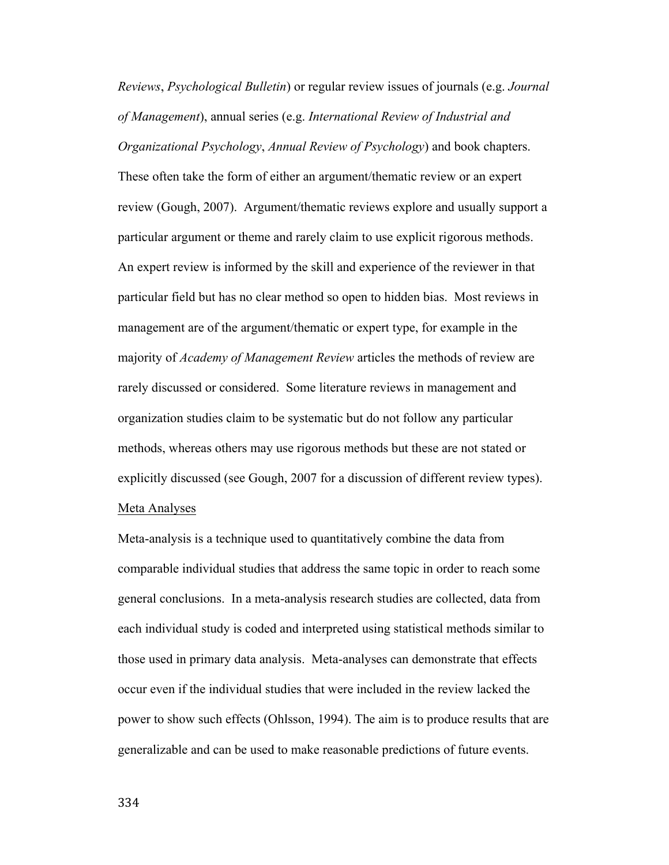*Reviews*, *Psychological Bulletin*) or regular review issues of journals (e.g. *Journal of Management*), annual series (e.g. *International Review of Industrial and Organizational Psychology*, *Annual Review of Psychology*) and book chapters.

These often take the form of either an argument/thematic review or an expert review (Gough, 2007). Argument/thematic reviews explore and usually support a particular argument or theme and rarely claim to use explicit rigorous methods. An expert review is informed by the skill and experience of the reviewer in that particular field but has no clear method so open to hidden bias. Most reviews in management are of the argument/thematic or expert type, for example in the majority of *Academy of Management Review* articles the methods of review are rarely discussed or considered. Some literature reviews in management and organization studies claim to be systematic but do not follow any particular methods, whereas others may use rigorous methods but these are not stated or explicitly discussed (see Gough, 2007 for a discussion of different review types). Meta Analyses

Meta-analysis is a technique used to quantitatively combine the data from comparable individual studies that address the same topic in order to reach some general conclusions. In a meta-analysis research studies are collected, data from each individual study is coded and interpreted using statistical methods similar to those used in primary data analysis. Meta-analyses can demonstrate that effects occur even if the individual studies that were included in the review lacked the power to show such effects (Ohlsson, 1994). The aim is to produce results that are generalizable and can be used to make reasonable predictions of future events.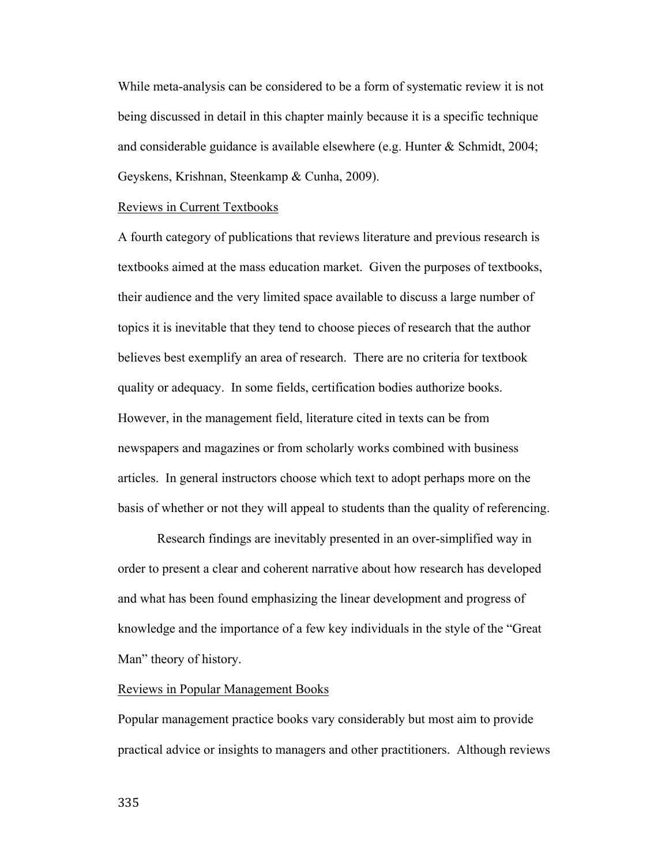While meta-analysis can be considered to be a form of systematic review it is not being discussed in detail in this chapter mainly because it is a specific technique and considerable guidance is available elsewhere (e.g. Hunter & Schmidt, 2004; Geyskens, Krishnan, Steenkamp & Cunha, 2009).

#### Reviews in Current Textbooks

A fourth category of publications that reviews literature and previous research is textbooks aimed at the mass education market. Given the purposes of textbooks, their audience and the very limited space available to discuss a large number of topics it is inevitable that they tend to choose pieces of research that the author believes best exemplify an area of research. There are no criteria for textbook quality or adequacy. In some fields, certification bodies authorize books. However, in the management field, literature cited in texts can be from newspapers and magazines or from scholarly works combined with business articles. In general instructors choose which text to adopt perhaps more on the basis of whether or not they will appeal to students than the quality of referencing.

Research findings are inevitably presented in an over-simplified way in order to present a clear and coherent narrative about how research has developed and what has been found emphasizing the linear development and progress of knowledge and the importance of a few key individuals in the style of the "Great Man" theory of history.

# Reviews in Popular Management Books

Popular management practice books vary considerably but most aim to provide practical advice or insights to managers and other practitioners. Although reviews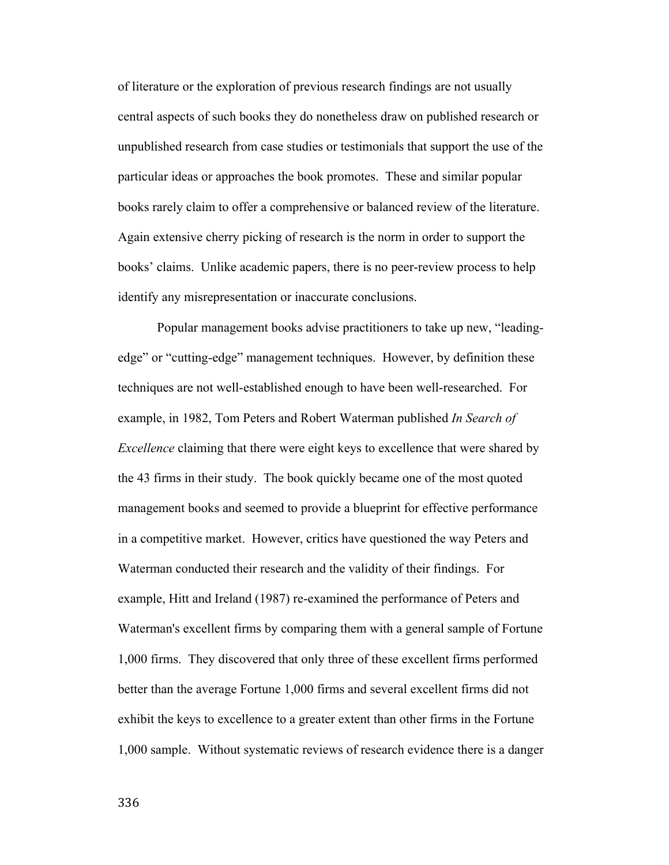of literature or the exploration of previous research findings are not usually central aspects of such books they do nonetheless draw on published research or unpublished research from case studies or testimonials that support the use of the particular ideas or approaches the book promotes. These and similar popular books rarely claim to offer a comprehensive or balanced review of the literature. Again extensive cherry picking of research is the norm in order to support the books' claims. Unlike academic papers, there is no peer-review process to help identify any misrepresentation or inaccurate conclusions.

Popular management books advise practitioners to take up new, "leadingedge" or "cutting-edge" management techniques. However, by definition these techniques are not well-established enough to have been well-researched. For example, in 1982, Tom Peters and Robert Waterman published *In Search of Excellence* claiming that there were eight keys to excellence that were shared by the 43 firms in their study. The book quickly became one of the most quoted management books and seemed to provide a blueprint for effective performance in a competitive market. However, critics have questioned the way Peters and Waterman conducted their research and the validity of their findings. For example, Hitt and Ireland (1987) re-examined the performance of Peters and Waterman's excellent firms by comparing them with a general sample of Fortune 1,000 firms. They discovered that only three of these excellent firms performed better than the average Fortune 1,000 firms and several excellent firms did not exhibit the keys to excellence to a greater extent than other firms in the Fortune 1,000 sample. Without systematic reviews of research evidence there is a danger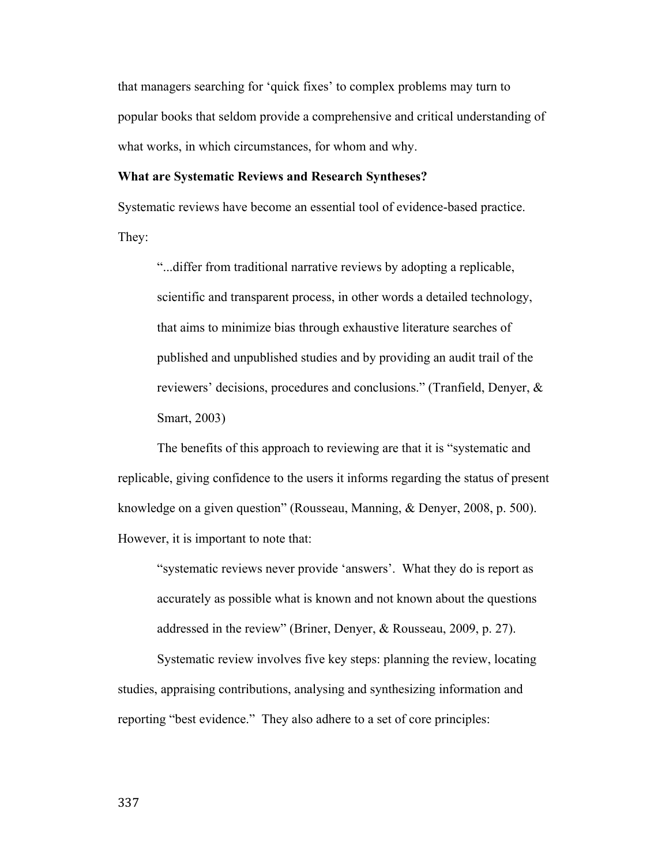that managers searching for 'quick fixes' to complex problems may turn to popular books that seldom provide a comprehensive and critical understanding of what works, in which circumstances, for whom and why.

# **What are Systematic Reviews and Research Syntheses?**

Systematic reviews have become an essential tool of evidence-based practice. They:

"...differ from traditional narrative reviews by adopting a replicable, scientific and transparent process, in other words a detailed technology, that aims to minimize bias through exhaustive literature searches of published and unpublished studies and by providing an audit trail of the reviewers' decisions, procedures and conclusions." (Tranfield, Denyer, & Smart, 2003)

The benefits of this approach to reviewing are that it is "systematic and replicable, giving confidence to the users it informs regarding the status of present knowledge on a given question" (Rousseau, Manning, & Denyer, 2008, p. 500). However, it is important to note that:

"systematic reviews never provide 'answers'. What they do is report as accurately as possible what is known and not known about the questions addressed in the review" (Briner, Denyer, & Rousseau, 2009, p. 27).

Systematic review involves five key steps: planning the review, locating studies, appraising contributions, analysing and synthesizing information and reporting "best evidence." They also adhere to a set of core principles: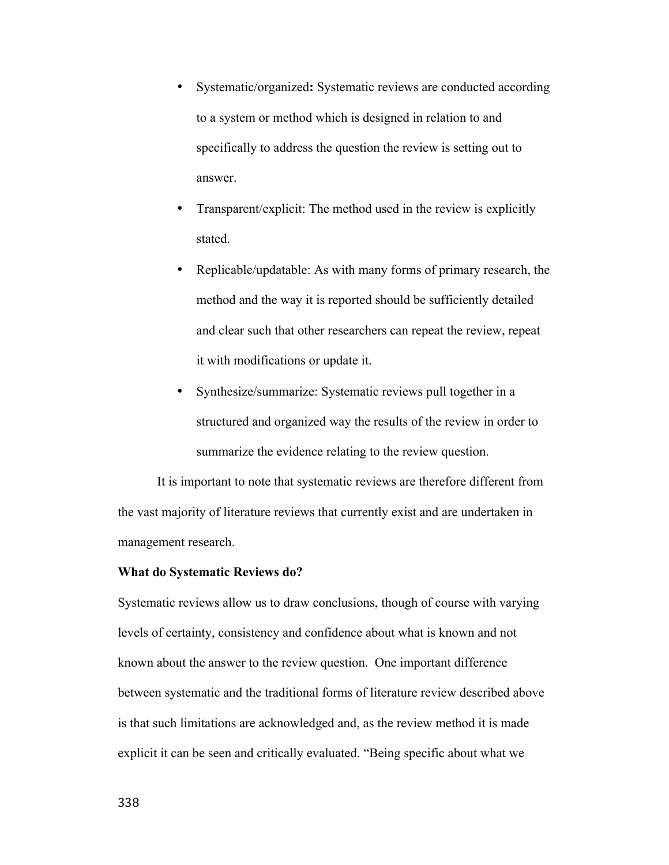- Systematic/organized**:** Systematic reviews are conducted according to a system or method which is designed in relation to and specifically to address the question the review is setting out to answer.
- Transparent/explicit: The method used in the review is explicitly stated.
- Replicable/updatable: As with many forms of primary research, the method and the way it is reported should be sufficiently detailed and clear such that other researchers can repeat the review, repeat it with modifications or update it.
- Synthesize/summarize: Systematic reviews pull together in a structured and organized way the results of the review in order to summarize the evidence relating to the review question.

It is important to note that systematic reviews are therefore different from the vast majority of literature reviews that currently exist and are undertaken in management research.

# **What do Systematic Reviews do?**

Systematic reviews allow us to draw conclusions, though of course with varying levels of certainty, consistency and confidence about what is known and not known about the answer to the review question. One important difference between systematic and the traditional forms of literature review described above is that such limitations are acknowledged and, as the review method it is made explicit it can be seen and critically evaluated. "Being specific about what we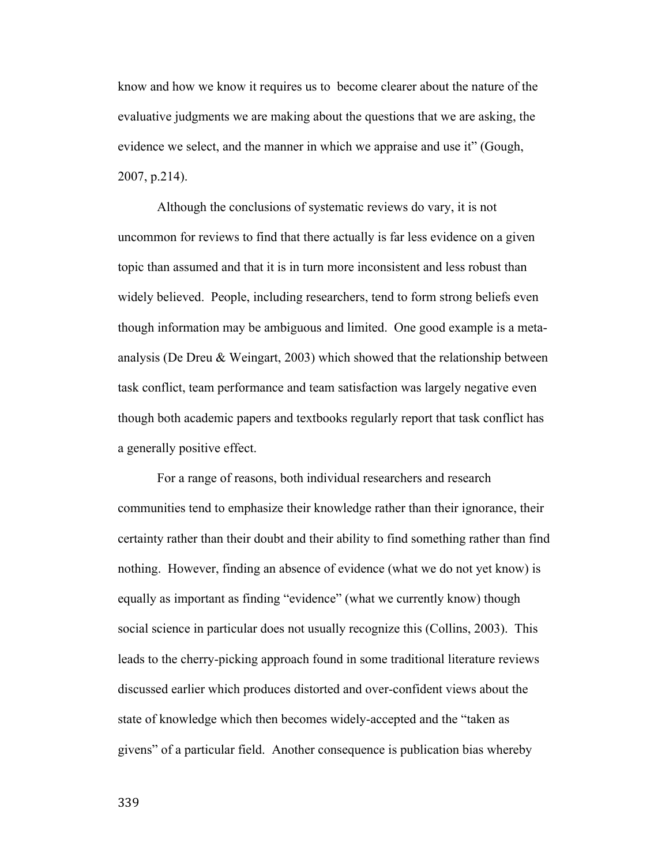know and how we know it requires us to become clearer about the nature of the evaluative judgments we are making about the questions that we are asking, the evidence we select, and the manner in which we appraise and use it" (Gough, 2007, p.214).

Although the conclusions of systematic reviews do vary, it is not uncommon for reviews to find that there actually is far less evidence on a given topic than assumed and that it is in turn more inconsistent and less robust than widely believed. People, including researchers, tend to form strong beliefs even though information may be ambiguous and limited. One good example is a metaanalysis (De Dreu & Weingart, 2003) which showed that the relationship between task conflict, team performance and team satisfaction was largely negative even though both academic papers and textbooks regularly report that task conflict has a generally positive effect.

For a range of reasons, both individual researchers and research communities tend to emphasize their knowledge rather than their ignorance, their certainty rather than their doubt and their ability to find something rather than find nothing. However, finding an absence of evidence (what we do not yet know) is equally as important as finding "evidence" (what we currently know) though social science in particular does not usually recognize this (Collins, 2003). This leads to the cherry-picking approach found in some traditional literature reviews discussed earlier which produces distorted and over-confident views about the state of knowledge which then becomes widely-accepted and the "taken as givens" of a particular field. Another consequence is publication bias whereby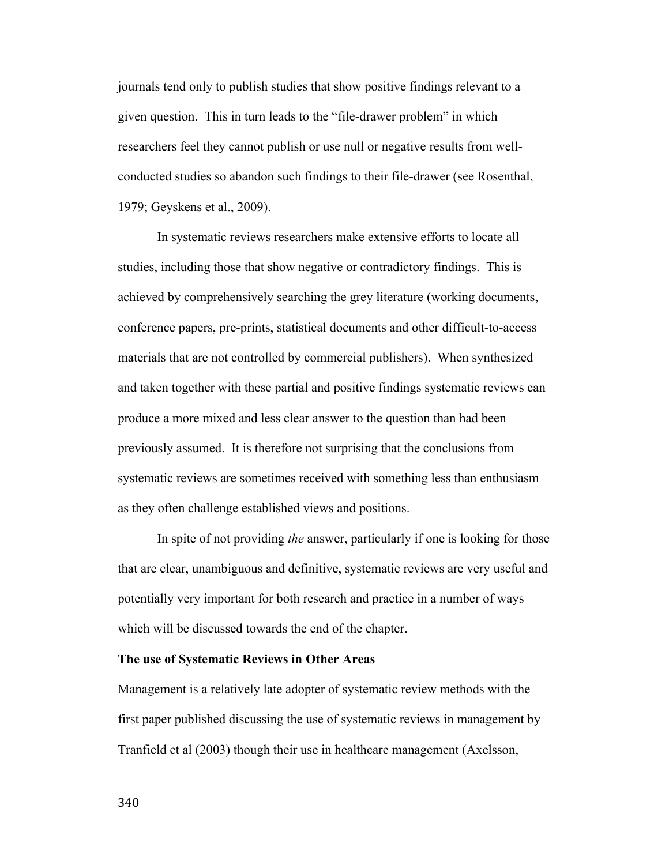journals tend only to publish studies that show positive findings relevant to a given question. This in turn leads to the "file-drawer problem" in which researchers feel they cannot publish or use null or negative results from wellconducted studies so abandon such findings to their file-drawer (see Rosenthal, 1979; Geyskens et al., 2009).

In systematic reviews researchers make extensive efforts to locate all studies, including those that show negative or contradictory findings. This is achieved by comprehensively searching the grey literature (working documents, conference papers, pre-prints, statistical documents and other difficult-to-access materials that are not controlled by commercial publishers). When synthesized and taken together with these partial and positive findings systematic reviews can produce a more mixed and less clear answer to the question than had been previously assumed. It is therefore not surprising that the conclusions from systematic reviews are sometimes received with something less than enthusiasm as they often challenge established views and positions.

In spite of not providing *the* answer, particularly if one is looking for those that are clear, unambiguous and definitive, systematic reviews are very useful and potentially very important for both research and practice in a number of ways which will be discussed towards the end of the chapter.

#### **The use of Systematic Reviews in Other Areas**

Management is a relatively late adopter of systematic review methods with the first paper published discussing the use of systematic reviews in management by Tranfield et al (2003) though their use in healthcare management (Axelsson,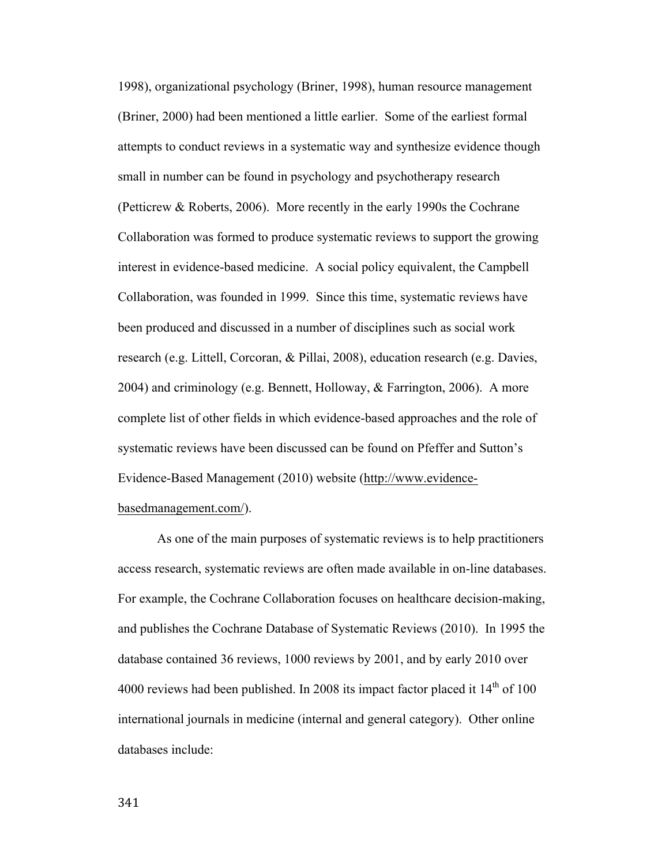1998), organizational psychology (Briner, 1998), human resource management (Briner, 2000) had been mentioned a little earlier. Some of the earliest formal attempts to conduct reviews in a systematic way and synthesize evidence though small in number can be found in psychology and psychotherapy research (Petticrew & Roberts, 2006). More recently in the early 1990s the Cochrane Collaboration was formed to produce systematic reviews to support the growing interest in evidence-based medicine. A social policy equivalent, the Campbell Collaboration, was founded in 1999. Since this time, systematic reviews have been produced and discussed in a number of disciplines such as social work research (e.g. Littell, Corcoran, & Pillai, 2008), education research (e.g. Davies, 2004) and criminology (e.g. Bennett, Holloway, & Farrington, 2006). A more complete list of other fields in which evidence-based approaches and the role of systematic reviews have been discussed can be found on Pfeffer and Sutton's Evidence-Based Management (2010) website (http://www.evidence-

basedmanagement.com/).

As one of the main purposes of systematic reviews is to help practitioners access research, systematic reviews are often made available in on-line databases. For example, the Cochrane Collaboration focuses on healthcare decision-making, and publishes the Cochrane Database of Systematic Reviews (2010). In 1995 the database contained 36 reviews, 1000 reviews by 2001, and by early 2010 over 4000 reviews had been published. In 2008 its impact factor placed it  $14<sup>th</sup>$  of 100 international journals in medicine (internal and general category). Other online databases include:

341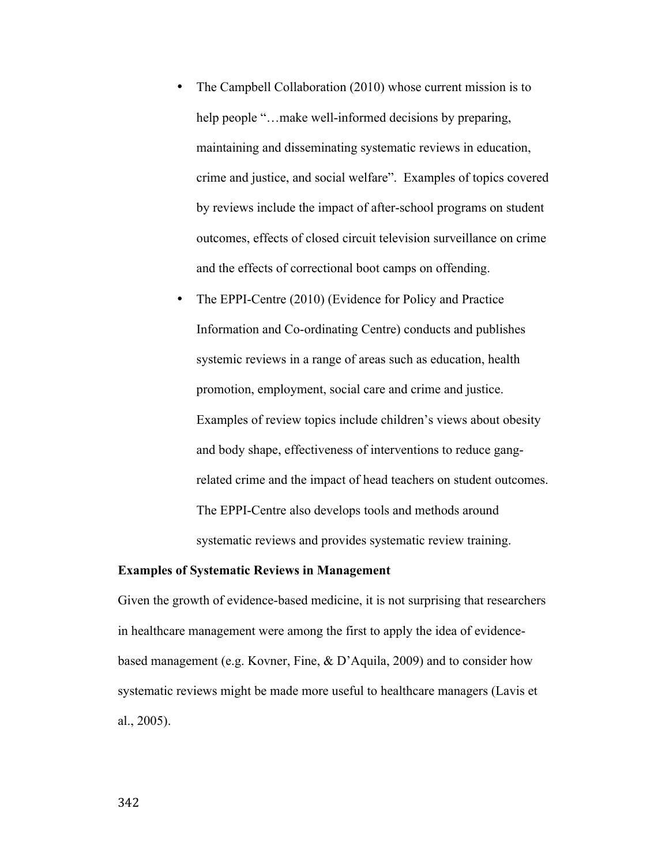- The Campbell Collaboration (2010) whose current mission is to help people "...make well-informed decisions by preparing, maintaining and disseminating systematic reviews in education, crime and justice, and social welfare". Examples of topics covered by reviews include the impact of after-school programs on student outcomes, effects of closed circuit television surveillance on crime and the effects of correctional boot camps on offending.
- The EPPI-Centre (2010) (Evidence for Policy and Practice Information and Co-ordinating Centre) conducts and publishes systemic reviews in a range of areas such as education, health promotion, employment, social care and crime and justice. Examples of review topics include children's views about obesity and body shape, effectiveness of interventions to reduce gangrelated crime and the impact of head teachers on student outcomes. The EPPI-Centre also develops tools and methods around systematic reviews and provides systematic review training.

# **Examples of Systematic Reviews in Management**

Given the growth of evidence-based medicine, it is not surprising that researchers in healthcare management were among the first to apply the idea of evidencebased management (e.g. Kovner, Fine, & D'Aquila, 2009) and to consider how systematic reviews might be made more useful to healthcare managers (Lavis et al., 2005).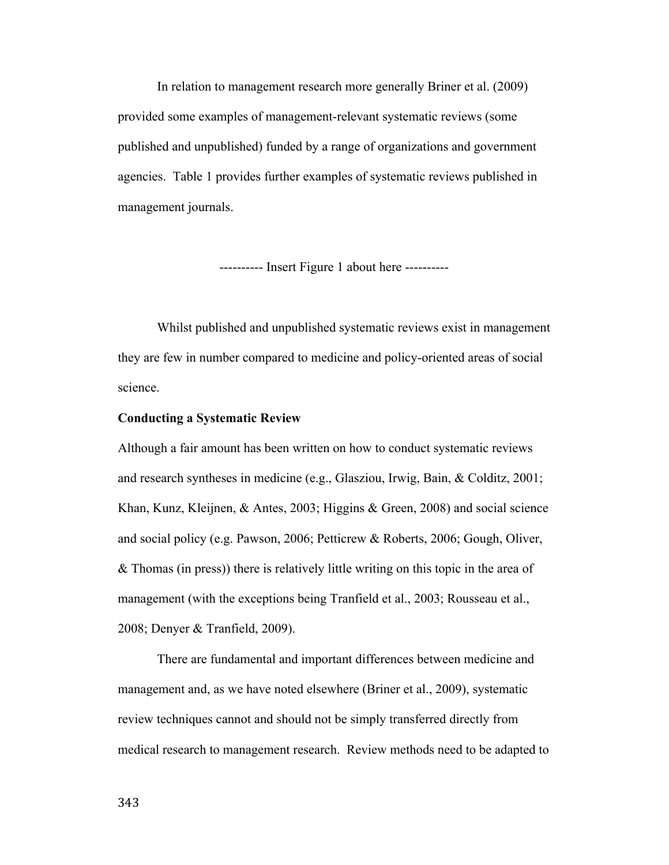In relation to management research more generally Briner et al. (2009) provided some examples of management-relevant systematic reviews (some published and unpublished) funded by a range of organizations and government agencies. Table 1 provides further examples of systematic reviews published in management journals.

---------- Insert Figure 1 about here ----------

Whilst published and unpublished systematic reviews exist in management they are few in number compared to medicine and policy-oriented areas of social science.

#### **Conducting a Systematic Review**

Although a fair amount has been written on how to conduct systematic reviews and research syntheses in medicine (e.g., Glasziou, Irwig, Bain, & Colditz, 2001; Khan, Kunz, Kleijnen, & Antes, 2003; Higgins & Green, 2008) and social science and social policy (e.g. Pawson, 2006; Petticrew & Roberts, 2006; Gough, Oliver, & Thomas (in press)) there is relatively little writing on this topic in the area of management (with the exceptions being Tranfield et al., 2003; Rousseau et al., 2008; Denyer & Tranfield, 2009).

There are fundamental and important differences between medicine and management and, as we have noted elsewhere (Briner et al., 2009), systematic review techniques cannot and should not be simply transferred directly from medical research to management research. Review methods need to be adapted to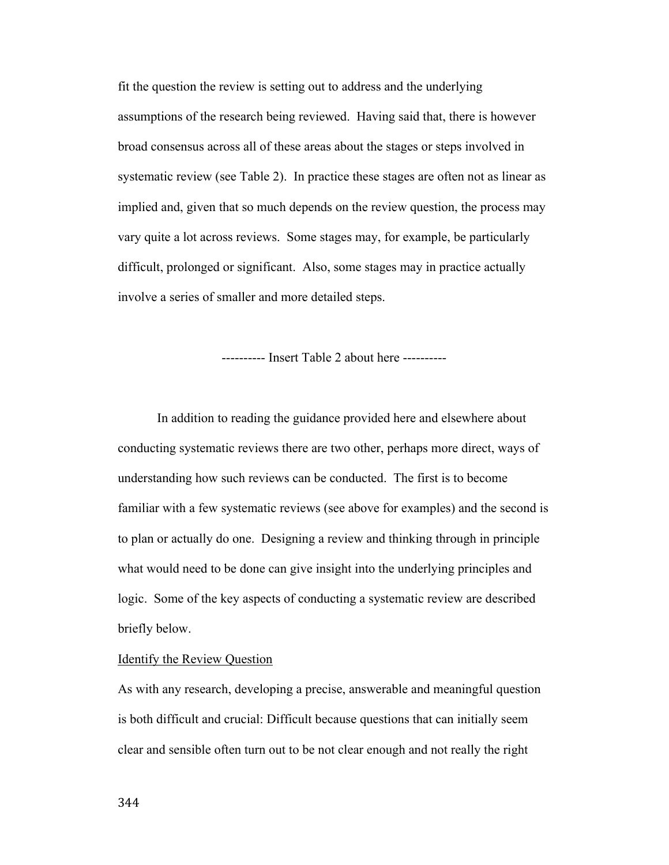fit the question the review is setting out to address and the underlying assumptions of the research being reviewed. Having said that, there is however broad consensus across all of these areas about the stages or steps involved in systematic review (see Table 2). In practice these stages are often not as linear as implied and, given that so much depends on the review question, the process may vary quite a lot across reviews. Some stages may, for example, be particularly difficult, prolonged or significant. Also, some stages may in practice actually involve a series of smaller and more detailed steps.

---------- Insert Table 2 about here ----------

In addition to reading the guidance provided here and elsewhere about conducting systematic reviews there are two other, perhaps more direct, ways of understanding how such reviews can be conducted. The first is to become familiar with a few systematic reviews (see above for examples) and the second is to plan or actually do one. Designing a review and thinking through in principle what would need to be done can give insight into the underlying principles and logic. Some of the key aspects of conducting a systematic review are described briefly below.

# Identify the Review Question

As with any research, developing a precise, answerable and meaningful question is both difficult and crucial: Difficult because questions that can initially seem clear and sensible often turn out to be not clear enough and not really the right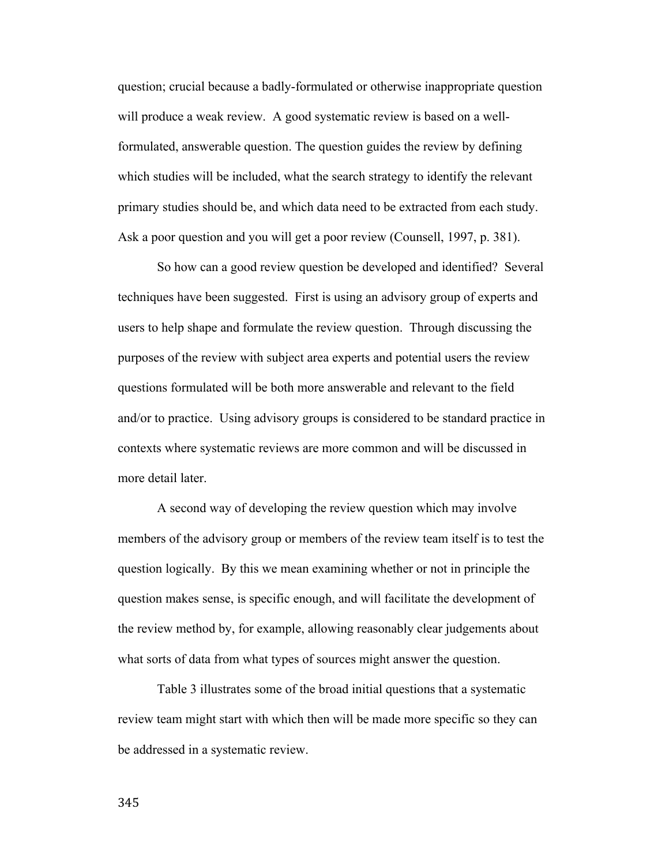question; crucial because a badly-formulated or otherwise inappropriate question will produce a weak review. A good systematic review is based on a wellformulated, answerable question. The question guides the review by defining which studies will be included, what the search strategy to identify the relevant primary studies should be, and which data need to be extracted from each study. Ask a poor question and you will get a poor review (Counsell, 1997, p. 381).

So how can a good review question be developed and identified? Several techniques have been suggested. First is using an advisory group of experts and users to help shape and formulate the review question. Through discussing the purposes of the review with subject area experts and potential users the review questions formulated will be both more answerable and relevant to the field and/or to practice. Using advisory groups is considered to be standard practice in contexts where systematic reviews are more common and will be discussed in more detail later.

A second way of developing the review question which may involve members of the advisory group or members of the review team itself is to test the question logically. By this we mean examining whether or not in principle the question makes sense, is specific enough, and will facilitate the development of the review method by, for example, allowing reasonably clear judgements about what sorts of data from what types of sources might answer the question.

Table 3 illustrates some of the broad initial questions that a systematic review team might start with which then will be made more specific so they can be addressed in a systematic review.

345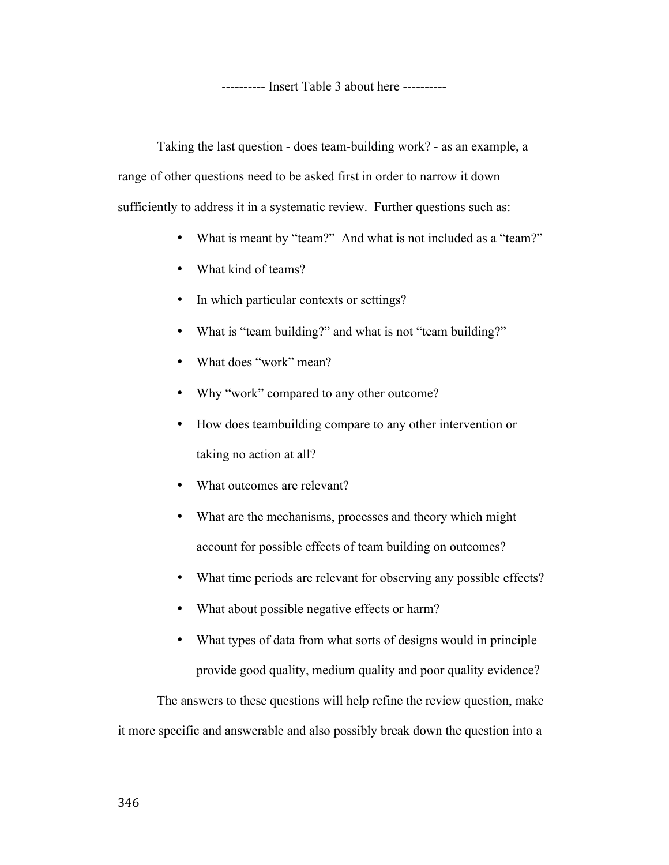---------- Insert Table 3 about here ----------

Taking the last question - does team-building work? - as an example, a range of other questions need to be asked first in order to narrow it down sufficiently to address it in a systematic review. Further questions such as:

- What is meant by "team?" And what is not included as a "team?"
- What kind of teams?
- In which particular contexts or settings?
- What is "team building?" and what is not "team building?"
- What does "work" mean?
- Why "work" compared to any other outcome?
- How does teambuilding compare to any other intervention or taking no action at all?
- What outcomes are relevant?
- What are the mechanisms, processes and theory which might account for possible effects of team building on outcomes?
- What time periods are relevant for observing any possible effects?
- What about possible negative effects or harm?
- What types of data from what sorts of designs would in principle provide good quality, medium quality and poor quality evidence?

The answers to these questions will help refine the review question, make it more specific and answerable and also possibly break down the question into a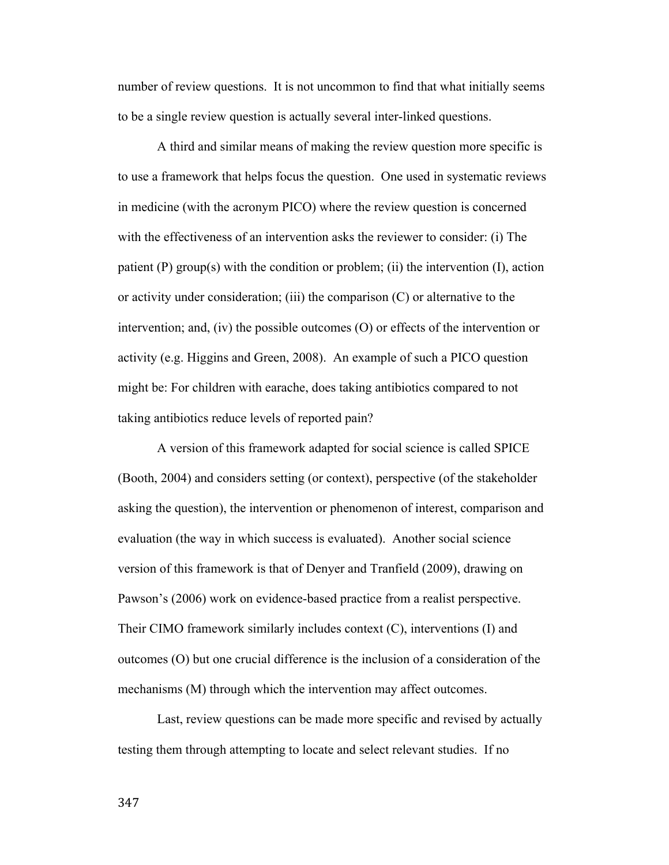number of review questions. It is not uncommon to find that what initially seems to be a single review question is actually several inter-linked questions.

A third and similar means of making the review question more specific is to use a framework that helps focus the question. One used in systematic reviews in medicine (with the acronym PICO) where the review question is concerned with the effectiveness of an intervention asks the reviewer to consider: (i) The patient (P) group(s) with the condition or problem; (ii) the intervention (I), action or activity under consideration; (iii) the comparison  $(C)$  or alternative to the intervention; and, (iv) the possible outcomes (O) or effects of the intervention or activity (e.g. Higgins and Green, 2008). An example of such a PICO question might be: For children with earache, does taking antibiotics compared to not taking antibiotics reduce levels of reported pain?

A version of this framework adapted for social science is called SPICE (Booth, 2004) and considers setting (or context), perspective (of the stakeholder asking the question), the intervention or phenomenon of interest, comparison and evaluation (the way in which success is evaluated). Another social science version of this framework is that of Denyer and Tranfield (2009), drawing on Pawson's (2006) work on evidence-based practice from a realist perspective. Their CIMO framework similarly includes context (C), interventions (I) and outcomes (O) but one crucial difference is the inclusion of a consideration of the mechanisms (M) through which the intervention may affect outcomes.

Last, review questions can be made more specific and revised by actually testing them through attempting to locate and select relevant studies. If no

347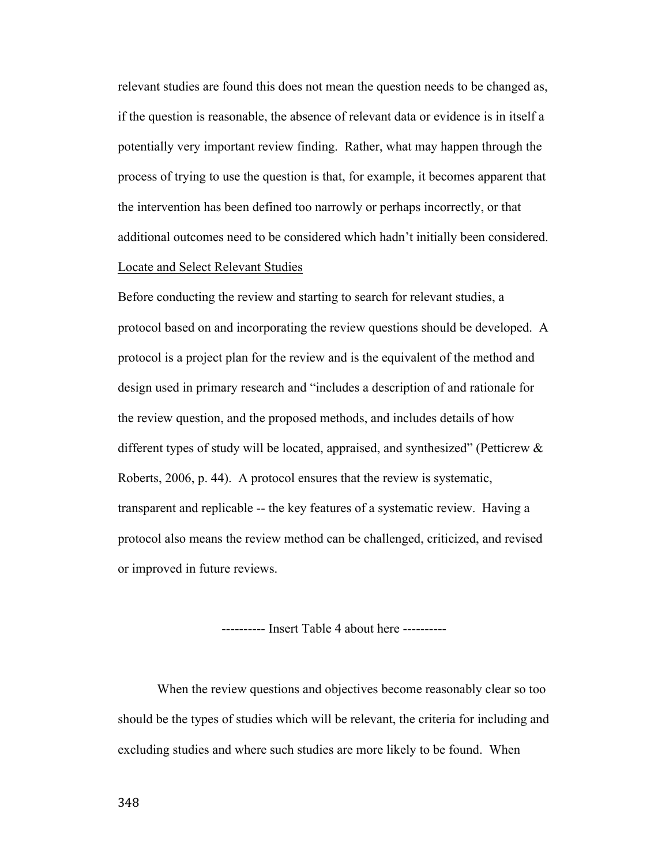relevant studies are found this does not mean the question needs to be changed as, if the question is reasonable, the absence of relevant data or evidence is in itself a potentially very important review finding. Rather, what may happen through the process of trying to use the question is that, for example, it becomes apparent that the intervention has been defined too narrowly or perhaps incorrectly, or that additional outcomes need to be considered which hadn't initially been considered. Locate and Select Relevant Studies

Before conducting the review and starting to search for relevant studies, a protocol based on and incorporating the review questions should be developed. A protocol is a project plan for the review and is the equivalent of the method and design used in primary research and "includes a description of and rationale for the review question, and the proposed methods, and includes details of how different types of study will be located, appraised, and synthesized" (Petticrew  $\&$ Roberts, 2006, p. 44). A protocol ensures that the review is systematic, transparent and replicable -- the key features of a systematic review. Having a protocol also means the review method can be challenged, criticized, and revised or improved in future reviews.

---------- Insert Table 4 about here ----------

When the review questions and objectives become reasonably clear so too should be the types of studies which will be relevant, the criteria for including and excluding studies and where such studies are more likely to be found. When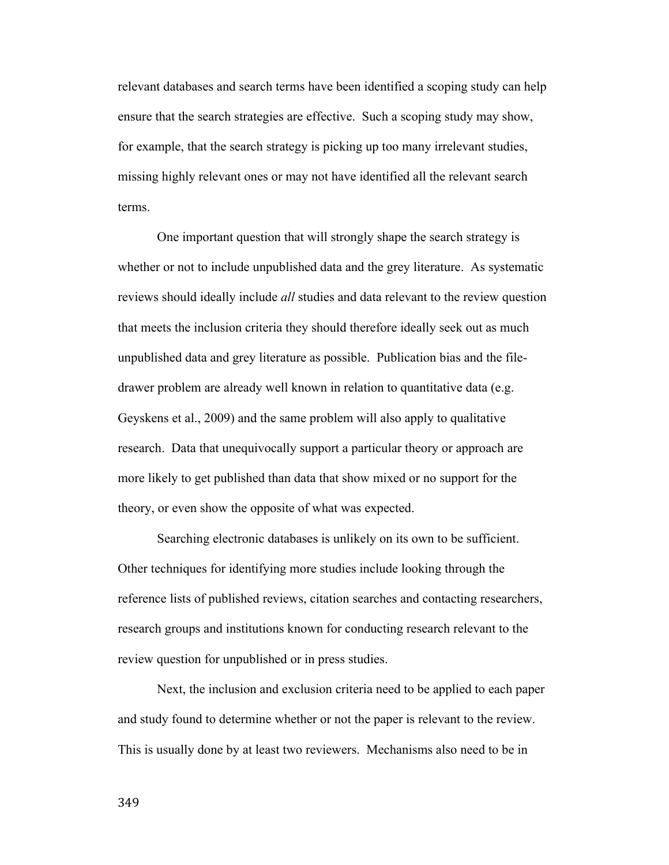relevant databases and search terms have been identified a scoping study can help ensure that the search strategies are effective. Such a scoping study may show, for example, that the search strategy is picking up too many irrelevant studies, missing highly relevant ones or may not have identified all the relevant search terms.

One important question that will strongly shape the search strategy is whether or not to include unpublished data and the grey literature. As systematic reviews should ideally include *all* studies and data relevant to the review question that meets the inclusion criteria they should therefore ideally seek out as much unpublished data and grey literature as possible. Publication bias and the filedrawer problem are already well known in relation to quantitative data (e.g. Geyskens et al., 2009) and the same problem will also apply to qualitative research. Data that unequivocally support a particular theory or approach are more likely to get published than data that show mixed or no support for the theory, or even show the opposite of what was expected.

Searching electronic databases is unlikely on its own to be sufficient. Other techniques for identifying more studies include looking through the reference lists of published reviews, citation searches and contacting researchers, research groups and institutions known for conducting research relevant to the review question for unpublished or in press studies.

Next, the inclusion and exclusion criteria need to be applied to each paper and study found to determine whether or not the paper is relevant to the review. This is usually done by at least two reviewers. Mechanisms also need to be in

349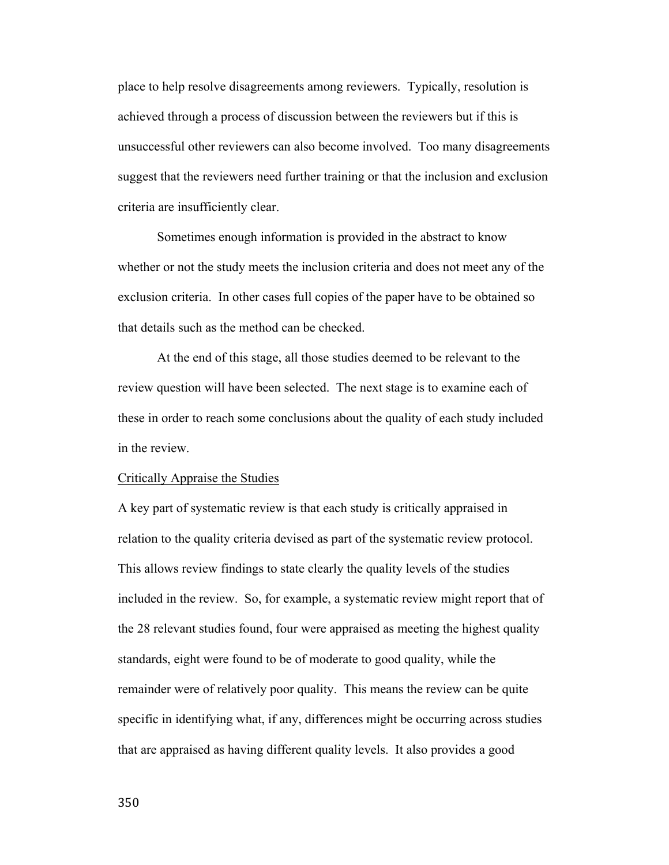place to help resolve disagreements among reviewers. Typically, resolution is achieved through a process of discussion between the reviewers but if this is unsuccessful other reviewers can also become involved. Too many disagreements suggest that the reviewers need further training or that the inclusion and exclusion criteria are insufficiently clear.

Sometimes enough information is provided in the abstract to know whether or not the study meets the inclusion criteria and does not meet any of the exclusion criteria. In other cases full copies of the paper have to be obtained so that details such as the method can be checked.

At the end of this stage, all those studies deemed to be relevant to the review question will have been selected. The next stage is to examine each of these in order to reach some conclusions about the quality of each study included in the review.

#### Critically Appraise the Studies

A key part of systematic review is that each study is critically appraised in relation to the quality criteria devised as part of the systematic review protocol. This allows review findings to state clearly the quality levels of the studies included in the review. So, for example, a systematic review might report that of the 28 relevant studies found, four were appraised as meeting the highest quality standards, eight were found to be of moderate to good quality, while the remainder were of relatively poor quality. This means the review can be quite specific in identifying what, if any, differences might be occurring across studies that are appraised as having different quality levels. It also provides a good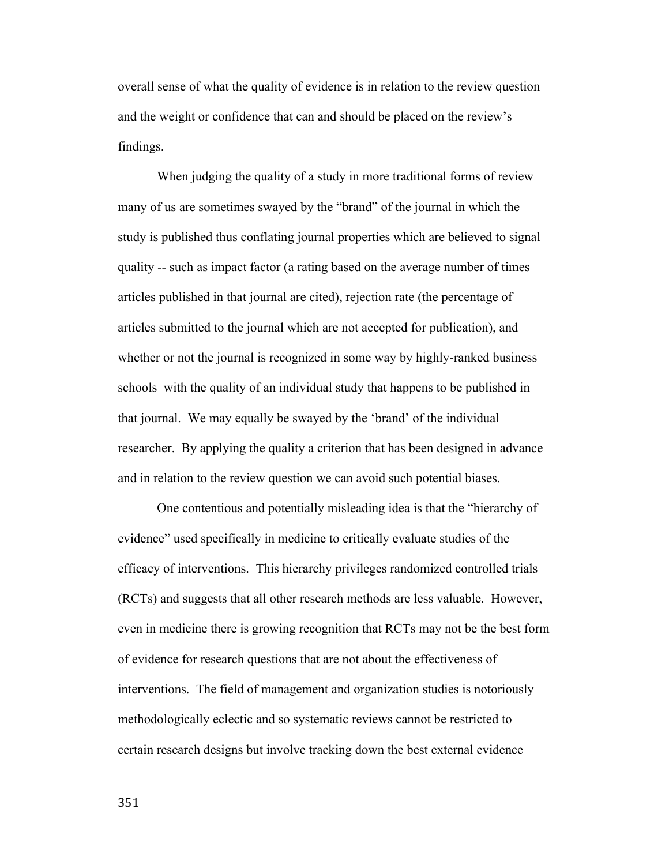overall sense of what the quality of evidence is in relation to the review question and the weight or confidence that can and should be placed on the review's findings.

When judging the quality of a study in more traditional forms of review many of us are sometimes swayed by the "brand" of the journal in which the study is published thus conflating journal properties which are believed to signal quality -- such as impact factor (a rating based on the average number of times articles published in that journal are cited), rejection rate (the percentage of articles submitted to the journal which are not accepted for publication), and whether or not the journal is recognized in some way by highly-ranked business schools with the quality of an individual study that happens to be published in that journal. We may equally be swayed by the 'brand' of the individual researcher. By applying the quality a criterion that has been designed in advance and in relation to the review question we can avoid such potential biases.

One contentious and potentially misleading idea is that the "hierarchy of evidence" used specifically in medicine to critically evaluate studies of the efficacy of interventions. This hierarchy privileges randomized controlled trials (RCTs) and suggests that all other research methods are less valuable. However, even in medicine there is growing recognition that RCTs may not be the best form of evidence for research questions that are not about the effectiveness of interventions. The field of management and organization studies is notoriously methodologically eclectic and so systematic reviews cannot be restricted to certain research designs but involve tracking down the best external evidence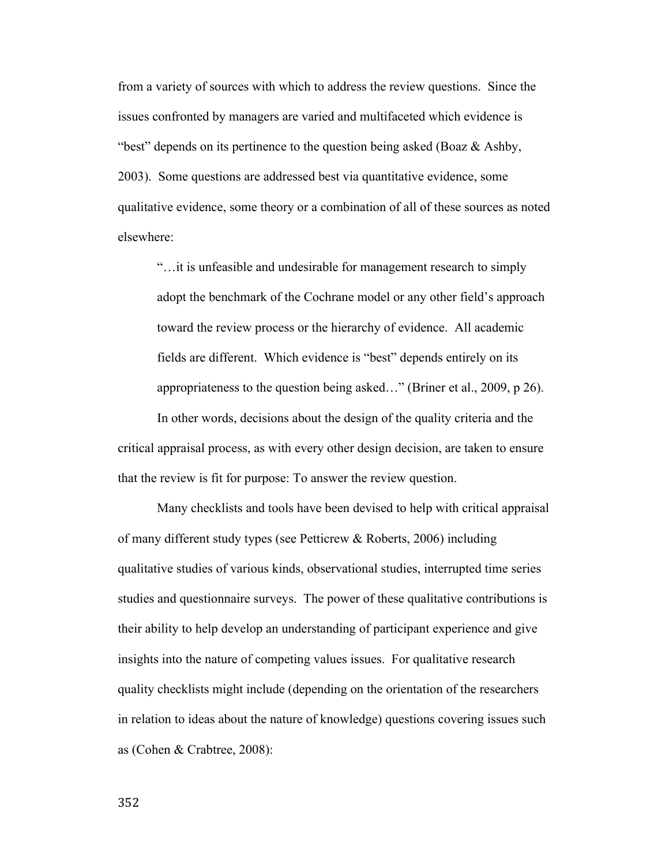from a variety of sources with which to address the review questions. Since the issues confronted by managers are varied and multifaceted which evidence is "best" depends on its pertinence to the question being asked (Boaz  $\&$  Ashby, 2003). Some questions are addressed best via quantitative evidence, some qualitative evidence, some theory or a combination of all of these sources as noted elsewhere:

"…it is unfeasible and undesirable for management research to simply adopt the benchmark of the Cochrane model or any other field's approach toward the review process or the hierarchy of evidence. All academic fields are different. Which evidence is "best" depends entirely on its appropriateness to the question being asked…" (Briner et al., 2009, p 26).

In other words, decisions about the design of the quality criteria and the critical appraisal process, as with every other design decision, are taken to ensure that the review is fit for purpose: To answer the review question.

Many checklists and tools have been devised to help with critical appraisal of many different study types (see Petticrew & Roberts, 2006) including qualitative studies of various kinds, observational studies, interrupted time series studies and questionnaire surveys. The power of these qualitative contributions is their ability to help develop an understanding of participant experience and give insights into the nature of competing values issues. For qualitative research quality checklists might include (depending on the orientation of the researchers in relation to ideas about the nature of knowledge) questions covering issues such as (Cohen & Crabtree, 2008):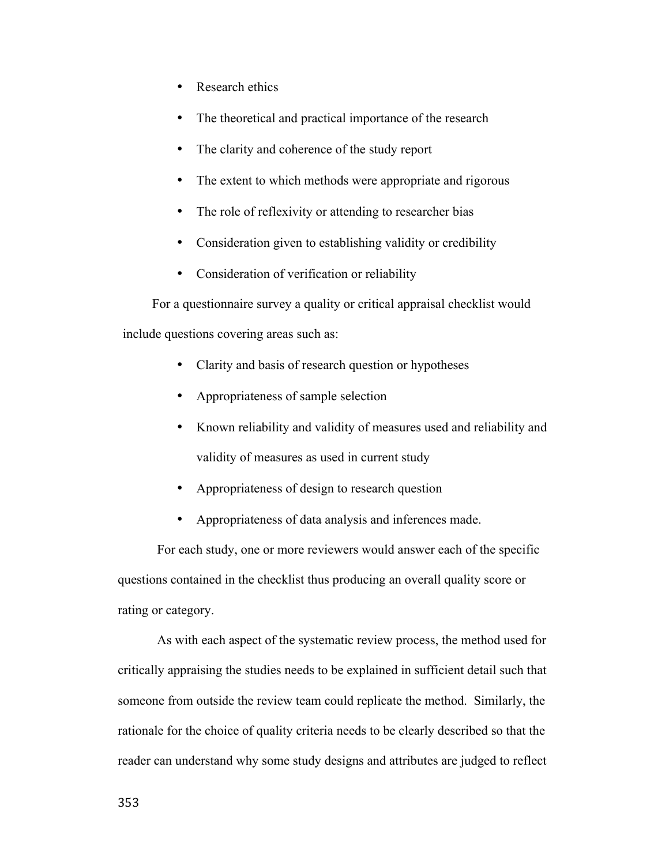- Research ethics
- The theoretical and practical importance of the research
- The clarity and coherence of the study report
- The extent to which methods were appropriate and rigorous
- The role of reflexivity or attending to researcher bias
- Consideration given to establishing validity or credibility
- Consideration of verification or reliability

For a questionnaire survey a quality or critical appraisal checklist would include questions covering areas such as:

- Clarity and basis of research question or hypotheses
- Appropriateness of sample selection
- Known reliability and validity of measures used and reliability and validity of measures as used in current study
- Appropriateness of design to research question
- Appropriateness of data analysis and inferences made.

For each study, one or more reviewers would answer each of the specific questions contained in the checklist thus producing an overall quality score or rating or category.

As with each aspect of the systematic review process, the method used for critically appraising the studies needs to be explained in sufficient detail such that someone from outside the review team could replicate the method. Similarly, the rationale for the choice of quality criteria needs to be clearly described so that the reader can understand why some study designs and attributes are judged to reflect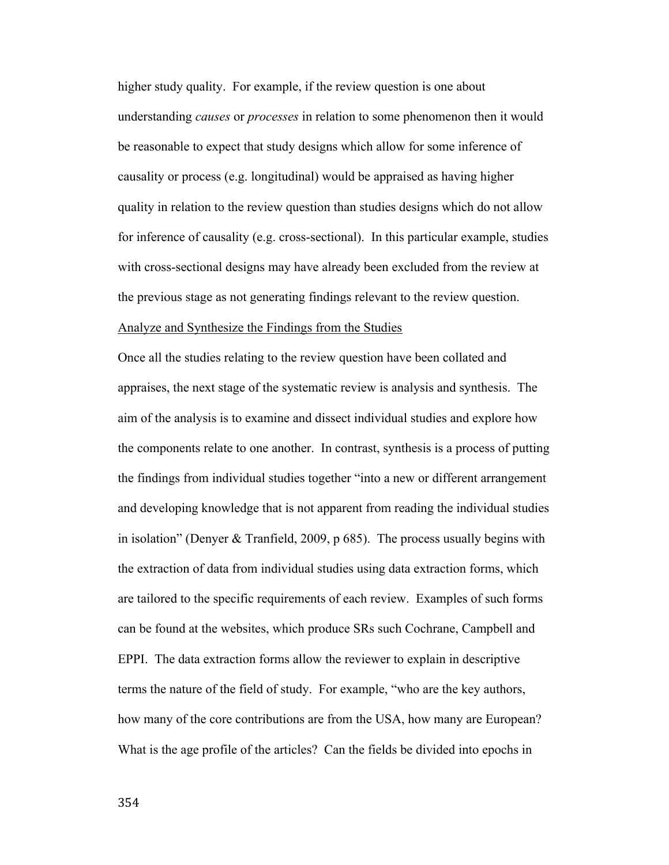higher study quality. For example, if the review question is one about understanding *causes* or *processes* in relation to some phenomenon then it would be reasonable to expect that study designs which allow for some inference of causality or process (e.g. longitudinal) would be appraised as having higher quality in relation to the review question than studies designs which do not allow for inference of causality (e.g. cross-sectional). In this particular example, studies with cross-sectional designs may have already been excluded from the review at the previous stage as not generating findings relevant to the review question.

#### Analyze and Synthesize the Findings from the Studies

Once all the studies relating to the review question have been collated and appraises, the next stage of the systematic review is analysis and synthesis. The aim of the analysis is to examine and dissect individual studies and explore how the components relate to one another. In contrast, synthesis is a process of putting the findings from individual studies together "into a new or different arrangement and developing knowledge that is not apparent from reading the individual studies in isolation" (Denyer & Tranfield, 2009, p 685). The process usually begins with the extraction of data from individual studies using data extraction forms, which are tailored to the specific requirements of each review. Examples of such forms can be found at the websites, which produce SRs such Cochrane, Campbell and EPPI. The data extraction forms allow the reviewer to explain in descriptive terms the nature of the field of study. For example, "who are the key authors, how many of the core contributions are from the USA, how many are European? What is the age profile of the articles? Can the fields be divided into epochs in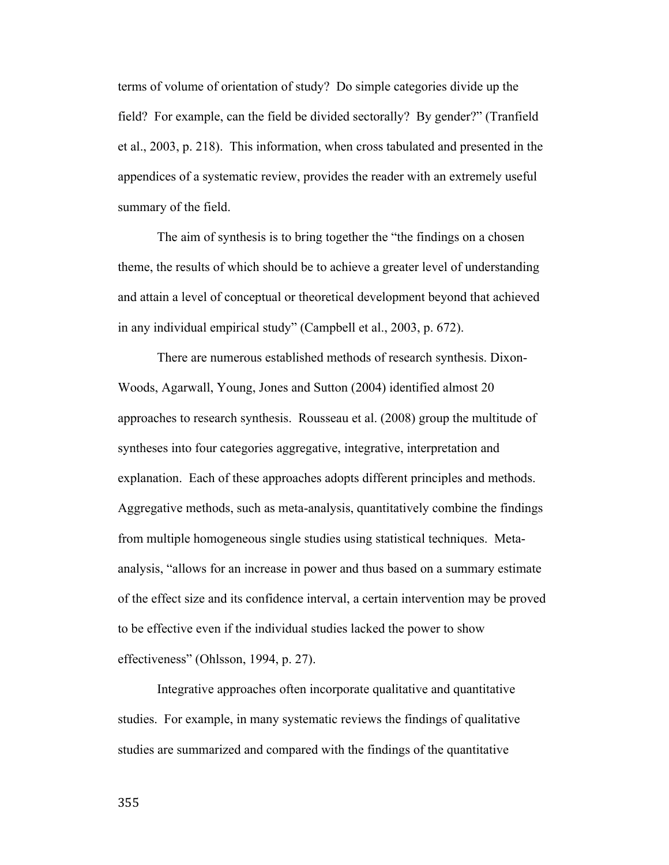terms of volume of orientation of study? Do simple categories divide up the field? For example, can the field be divided sectorally? By gender?" (Tranfield et al., 2003, p. 218). This information, when cross tabulated and presented in the appendices of a systematic review, provides the reader with an extremely useful summary of the field.

The aim of synthesis is to bring together the "the findings on a chosen theme, the results of which should be to achieve a greater level of understanding and attain a level of conceptual or theoretical development beyond that achieved in any individual empirical study" (Campbell et al., 2003, p. 672).

There are numerous established methods of research synthesis. Dixon-Woods, Agarwall, Young, Jones and Sutton (2004) identified almost 20 approaches to research synthesis. Rousseau et al. (2008) group the multitude of syntheses into four categories aggregative, integrative, interpretation and explanation. Each of these approaches adopts different principles and methods. Aggregative methods, such as meta-analysis, quantitatively combine the findings from multiple homogeneous single studies using statistical techniques. Metaanalysis, "allows for an increase in power and thus based on a summary estimate of the effect size and its confidence interval, a certain intervention may be proved to be effective even if the individual studies lacked the power to show effectiveness" (Ohlsson, 1994, p. 27).

Integrative approaches often incorporate qualitative and quantitative studies. For example, in many systematic reviews the findings of qualitative studies are summarized and compared with the findings of the quantitative

355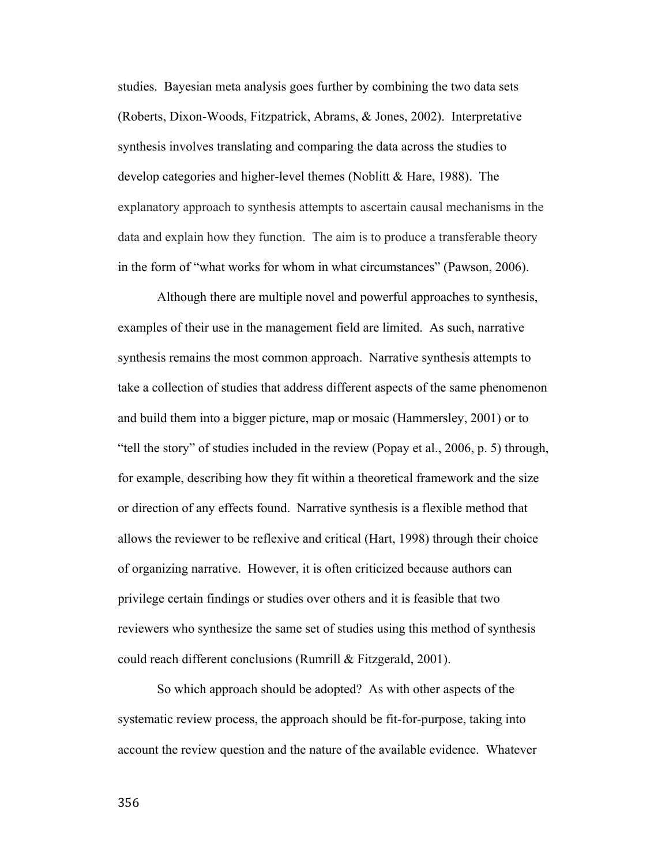studies. Bayesian meta analysis goes further by combining the two data sets (Roberts, Dixon-Woods, Fitzpatrick, Abrams, & Jones, 2002). Interpretative synthesis involves translating and comparing the data across the studies to develop categories and higher-level themes (Noblitt & Hare, 1988). The explanatory approach to synthesis attempts to ascertain causal mechanisms in the data and explain how they function. The aim is to produce a transferable theory in the form of "what works for whom in what circumstances" (Pawson, 2006).

Although there are multiple novel and powerful approaches to synthesis, examples of their use in the management field are limited. As such, narrative synthesis remains the most common approach. Narrative synthesis attempts to take a collection of studies that address different aspects of the same phenomenon and build them into a bigger picture, map or mosaic (Hammersley, 2001) or to "tell the story" of studies included in the review (Popay et al., 2006, p. 5) through, for example, describing how they fit within a theoretical framework and the size or direction of any effects found. Narrative synthesis is a flexible method that allows the reviewer to be reflexive and critical (Hart, 1998) through their choice of organizing narrative. However, it is often criticized because authors can privilege certain findings or studies over others and it is feasible that two reviewers who synthesize the same set of studies using this method of synthesis could reach different conclusions (Rumrill & Fitzgerald, 2001).

So which approach should be adopted? As with other aspects of the systematic review process, the approach should be fit-for-purpose, taking into account the review question and the nature of the available evidence. Whatever

356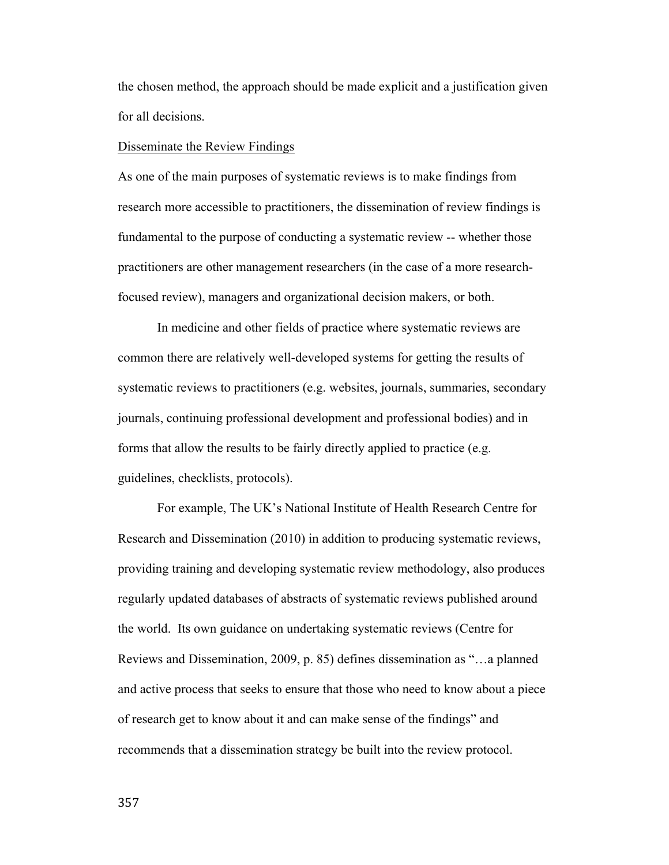the chosen method, the approach should be made explicit and a justification given for all decisions.

#### Disseminate the Review Findings

As one of the main purposes of systematic reviews is to make findings from research more accessible to practitioners, the dissemination of review findings is fundamental to the purpose of conducting a systematic review -- whether those practitioners are other management researchers (in the case of a more researchfocused review), managers and organizational decision makers, or both.

In medicine and other fields of practice where systematic reviews are common there are relatively well-developed systems for getting the results of systematic reviews to practitioners (e.g. websites, journals, summaries, secondary journals, continuing professional development and professional bodies) and in forms that allow the results to be fairly directly applied to practice (e.g. guidelines, checklists, protocols).

For example, The UK's National Institute of Health Research Centre for Research and Dissemination (2010) in addition to producing systematic reviews, providing training and developing systematic review methodology, also produces regularly updated databases of abstracts of systematic reviews published around the world. Its own guidance on undertaking systematic reviews (Centre for Reviews and Dissemination, 2009, p. 85) defines dissemination as "…a planned and active process that seeks to ensure that those who need to know about a piece of research get to know about it and can make sense of the findings" and recommends that a dissemination strategy be built into the review protocol.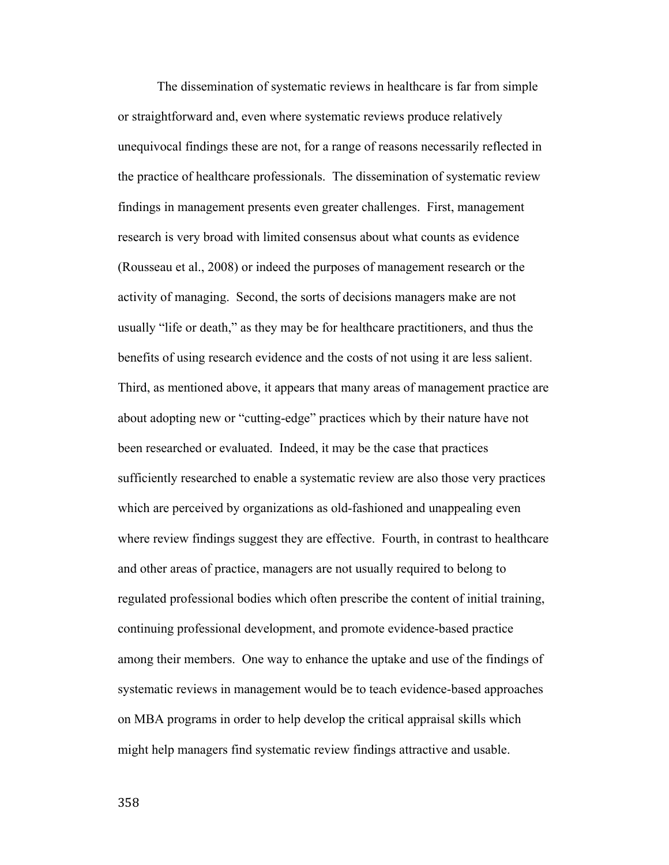The dissemination of systematic reviews in healthcare is far from simple or straightforward and, even where systematic reviews produce relatively unequivocal findings these are not, for a range of reasons necessarily reflected in the practice of healthcare professionals. The dissemination of systematic review findings in management presents even greater challenges. First, management research is very broad with limited consensus about what counts as evidence (Rousseau et al., 2008) or indeed the purposes of management research or the activity of managing. Second, the sorts of decisions managers make are not usually "life or death," as they may be for healthcare practitioners, and thus the benefits of using research evidence and the costs of not using it are less salient. Third, as mentioned above, it appears that many areas of management practice are about adopting new or "cutting-edge" practices which by their nature have not been researched or evaluated. Indeed, it may be the case that practices sufficiently researched to enable a systematic review are also those very practices which are perceived by organizations as old-fashioned and unappealing even where review findings suggest they are effective. Fourth, in contrast to healthcare and other areas of practice, managers are not usually required to belong to regulated professional bodies which often prescribe the content of initial training, continuing professional development, and promote evidence-based practice among their members. One way to enhance the uptake and use of the findings of systematic reviews in management would be to teach evidence-based approaches on MBA programs in order to help develop the critical appraisal skills which might help managers find systematic review findings attractive and usable.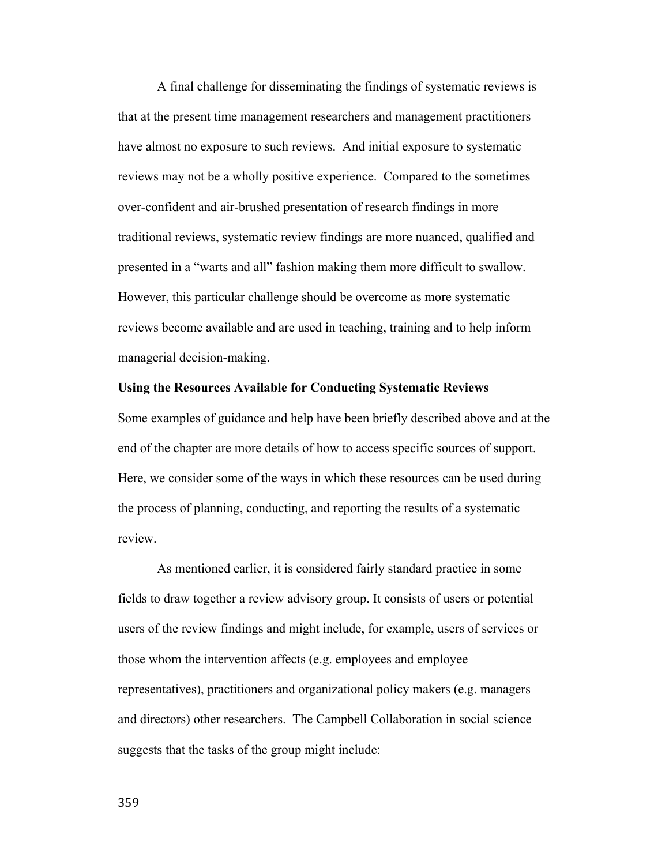A final challenge for disseminating the findings of systematic reviews is that at the present time management researchers and management practitioners have almost no exposure to such reviews. And initial exposure to systematic reviews may not be a wholly positive experience. Compared to the sometimes over-confident and air-brushed presentation of research findings in more traditional reviews, systematic review findings are more nuanced, qualified and presented in a "warts and all" fashion making them more difficult to swallow. However, this particular challenge should be overcome as more systematic reviews become available and are used in teaching, training and to help inform managerial decision-making.

## **Using the Resources Available for Conducting Systematic Reviews**

Some examples of guidance and help have been briefly described above and at the end of the chapter are more details of how to access specific sources of support. Here, we consider some of the ways in which these resources can be used during the process of planning, conducting, and reporting the results of a systematic review.

As mentioned earlier, it is considered fairly standard practice in some fields to draw together a review advisory group. It consists of users or potential users of the review findings and might include, for example, users of services or those whom the intervention affects (e.g. employees and employee representatives), practitioners and organizational policy makers (e.g. managers and directors) other researchers. The Campbell Collaboration in social science suggests that the tasks of the group might include: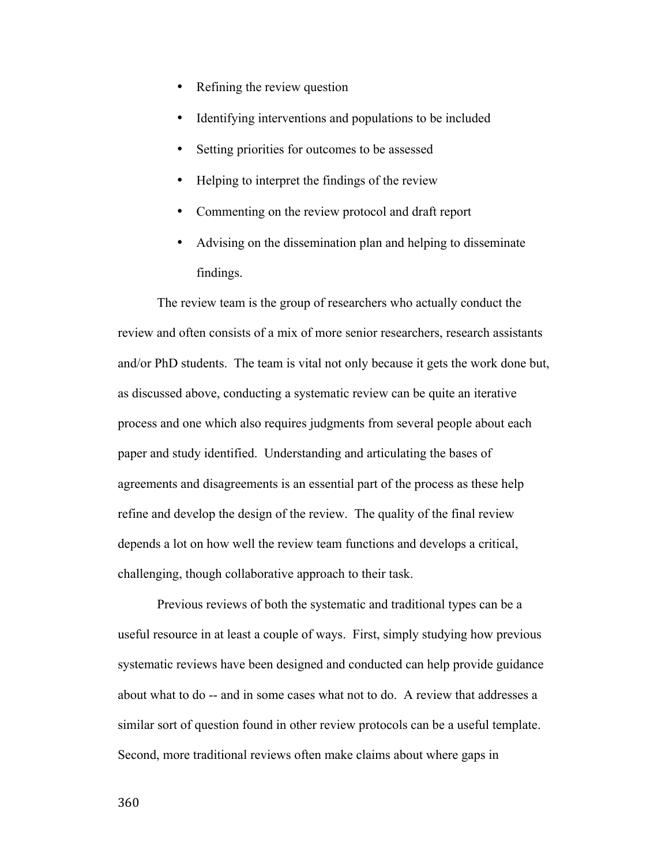- Refining the review question
- Identifying interventions and populations to be included
- Setting priorities for outcomes to be assessed
- Helping to interpret the findings of the review
- Commenting on the review protocol and draft report
- Advising on the dissemination plan and helping to disseminate findings.

The review team is the group of researchers who actually conduct the review and often consists of a mix of more senior researchers, research assistants and/or PhD students. The team is vital not only because it gets the work done but, as discussed above, conducting a systematic review can be quite an iterative process and one which also requires judgments from several people about each paper and study identified. Understanding and articulating the bases of agreements and disagreements is an essential part of the process as these help refine and develop the design of the review. The quality of the final review depends a lot on how well the review team functions and develops a critical, challenging, though collaborative approach to their task.

Previous reviews of both the systematic and traditional types can be a useful resource in at least a couple of ways. First, simply studying how previous systematic reviews have been designed and conducted can help provide guidance about what to do -- and in some cases what not to do. A review that addresses a similar sort of question found in other review protocols can be a useful template. Second, more traditional reviews often make claims about where gaps in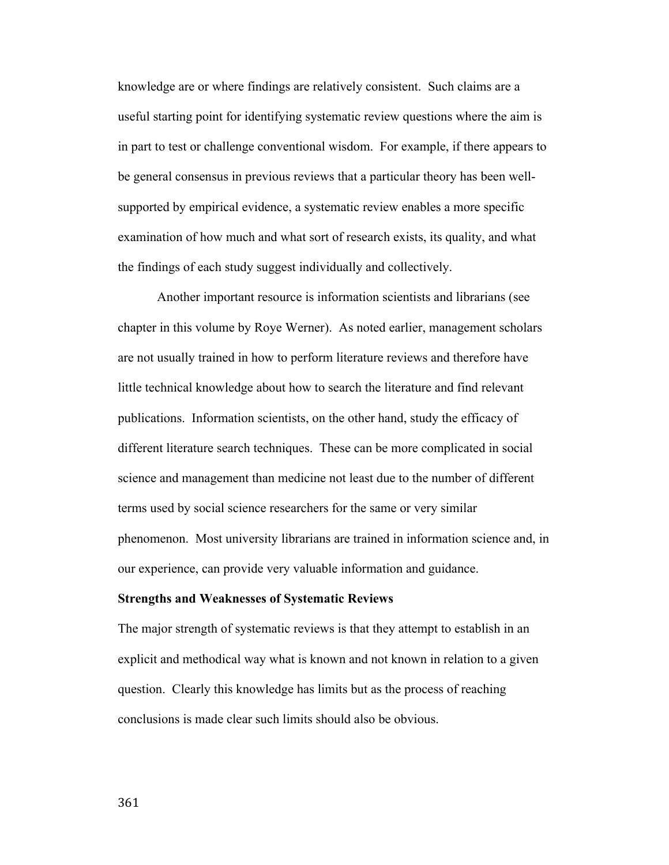knowledge are or where findings are relatively consistent. Such claims are a useful starting point for identifying systematic review questions where the aim is in part to test or challenge conventional wisdom. For example, if there appears to be general consensus in previous reviews that a particular theory has been wellsupported by empirical evidence, a systematic review enables a more specific examination of how much and what sort of research exists, its quality, and what the findings of each study suggest individually and collectively.

Another important resource is information scientists and librarians (see chapter in this volume by Roye Werner). As noted earlier, management scholars are not usually trained in how to perform literature reviews and therefore have little technical knowledge about how to search the literature and find relevant publications. Information scientists, on the other hand, study the efficacy of different literature search techniques. These can be more complicated in social science and management than medicine not least due to the number of different terms used by social science researchers for the same or very similar phenomenon. Most university librarians are trained in information science and, in our experience, can provide very valuable information and guidance.

#### **Strengths and Weaknesses of Systematic Reviews**

The major strength of systematic reviews is that they attempt to establish in an explicit and methodical way what is known and not known in relation to a given question. Clearly this knowledge has limits but as the process of reaching conclusions is made clear such limits should also be obvious.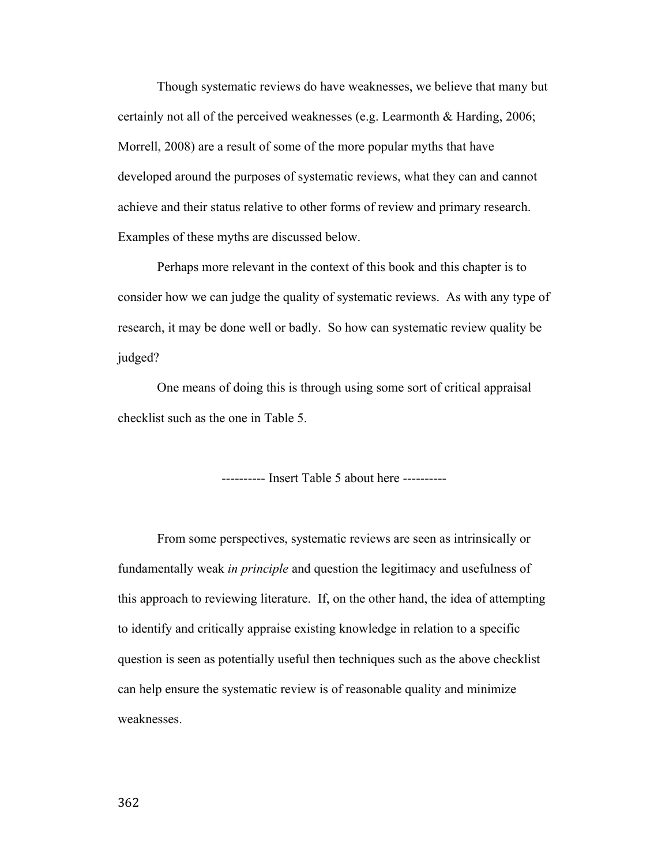Though systematic reviews do have weaknesses, we believe that many but certainly not all of the perceived weaknesses (e.g. Learmonth & Harding, 2006; Morrell, 2008) are a result of some of the more popular myths that have developed around the purposes of systematic reviews, what they can and cannot achieve and their status relative to other forms of review and primary research. Examples of these myths are discussed below.

Perhaps more relevant in the context of this book and this chapter is to consider how we can judge the quality of systematic reviews. As with any type of research, it may be done well or badly. So how can systematic review quality be judged?

One means of doing this is through using some sort of critical appraisal checklist such as the one in Table 5.

---------- Insert Table 5 about here ----------

From some perspectives, systematic reviews are seen as intrinsically or fundamentally weak *in principle* and question the legitimacy and usefulness of this approach to reviewing literature. If, on the other hand, the idea of attempting to identify and critically appraise existing knowledge in relation to a specific question is seen as potentially useful then techniques such as the above checklist can help ensure the systematic review is of reasonable quality and minimize weaknesses.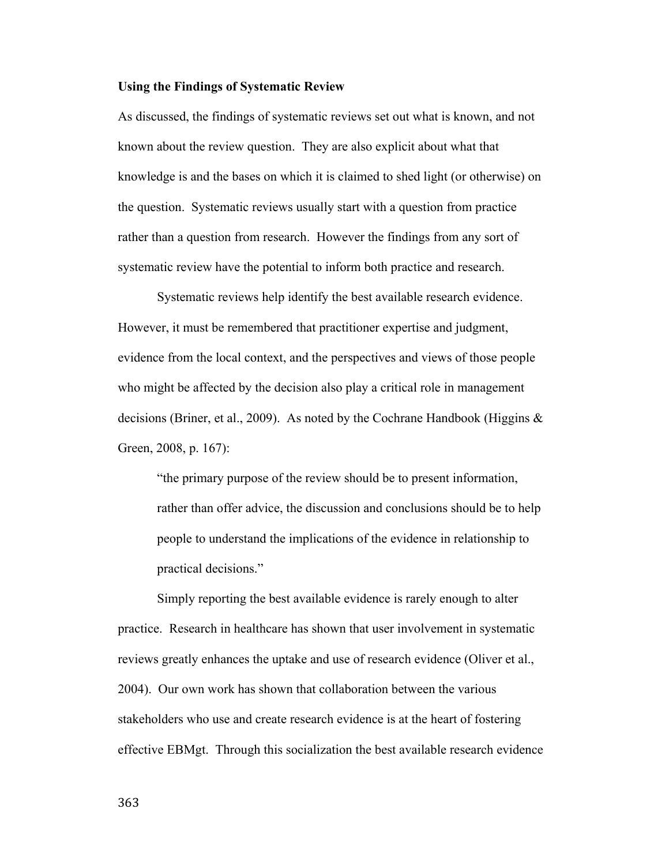# **Using the Findings of Systematic Review**

As discussed, the findings of systematic reviews set out what is known, and not known about the review question. They are also explicit about what that knowledge is and the bases on which it is claimed to shed light (or otherwise) on the question. Systematic reviews usually start with a question from practice rather than a question from research. However the findings from any sort of systematic review have the potential to inform both practice and research.

Systematic reviews help identify the best available research evidence. However, it must be remembered that practitioner expertise and judgment, evidence from the local context, and the perspectives and views of those people who might be affected by the decision also play a critical role in management decisions (Briner, et al., 2009). As noted by the Cochrane Handbook (Higgins  $\&$ Green, 2008, p. 167):

"the primary purpose of the review should be to present information, rather than offer advice, the discussion and conclusions should be to help people to understand the implications of the evidence in relationship to practical decisions."

Simply reporting the best available evidence is rarely enough to alter practice. Research in healthcare has shown that user involvement in systematic reviews greatly enhances the uptake and use of research evidence (Oliver et al., 2004). Our own work has shown that collaboration between the various stakeholders who use and create research evidence is at the heart of fostering effective EBMgt. Through this socialization the best available research evidence

363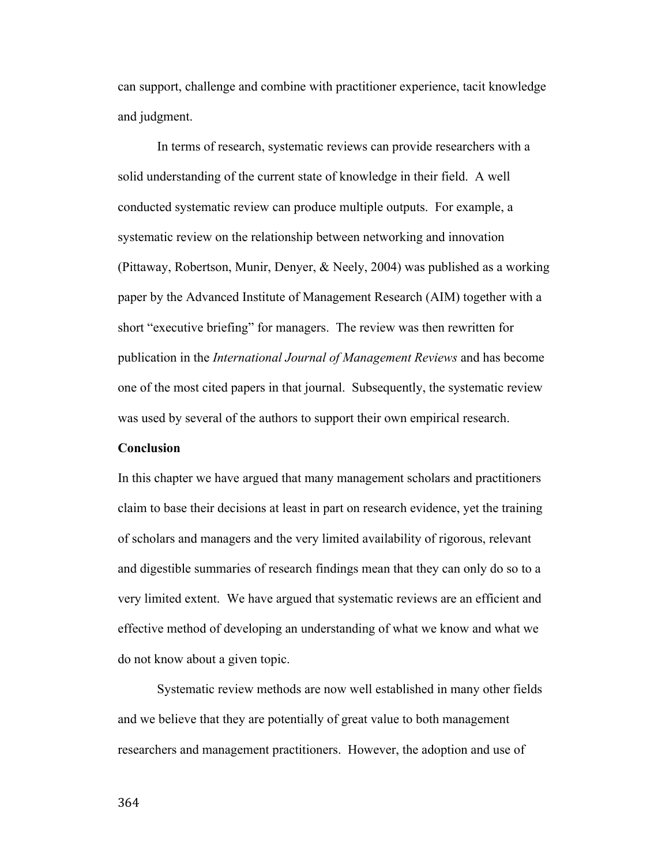can support, challenge and combine with practitioner experience, tacit knowledge and judgment.

In terms of research, systematic reviews can provide researchers with a solid understanding of the current state of knowledge in their field. A well conducted systematic review can produce multiple outputs. For example, a systematic review on the relationship between networking and innovation (Pittaway, Robertson, Munir, Denyer, & Neely, 2004) was published as a working paper by the Advanced Institute of Management Research (AIM) together with a short "executive briefing" for managers. The review was then rewritten for publication in the *International Journal of Management Reviews* and has become one of the most cited papers in that journal. Subsequently, the systematic review was used by several of the authors to support their own empirical research.

# **Conclusion**

In this chapter we have argued that many management scholars and practitioners claim to base their decisions at least in part on research evidence, yet the training of scholars and managers and the very limited availability of rigorous, relevant and digestible summaries of research findings mean that they can only do so to a very limited extent. We have argued that systematic reviews are an efficient and effective method of developing an understanding of what we know and what we do not know about a given topic.

Systematic review methods are now well established in many other fields and we believe that they are potentially of great value to both management researchers and management practitioners. However, the adoption and use of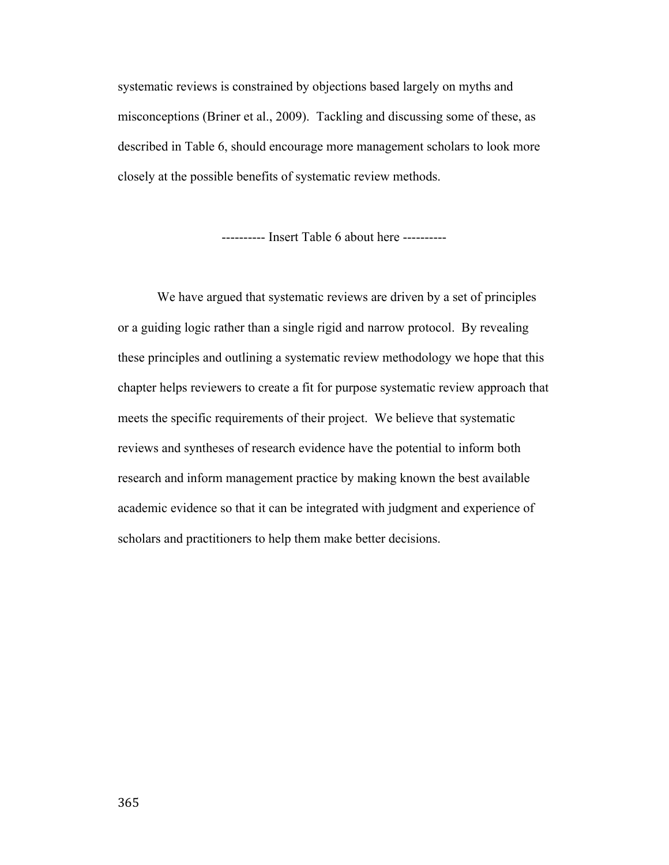systematic reviews is constrained by objections based largely on myths and misconceptions (Briner et al., 2009). Tackling and discussing some of these, as described in Table 6, should encourage more management scholars to look more closely at the possible benefits of systematic review methods.

---------- Insert Table 6 about here ----------

We have argued that systematic reviews are driven by a set of principles or a guiding logic rather than a single rigid and narrow protocol. By revealing these principles and outlining a systematic review methodology we hope that this chapter helps reviewers to create a fit for purpose systematic review approach that meets the specific requirements of their project. We believe that systematic reviews and syntheses of research evidence have the potential to inform both research and inform management practice by making known the best available academic evidence so that it can be integrated with judgment and experience of scholars and practitioners to help them make better decisions.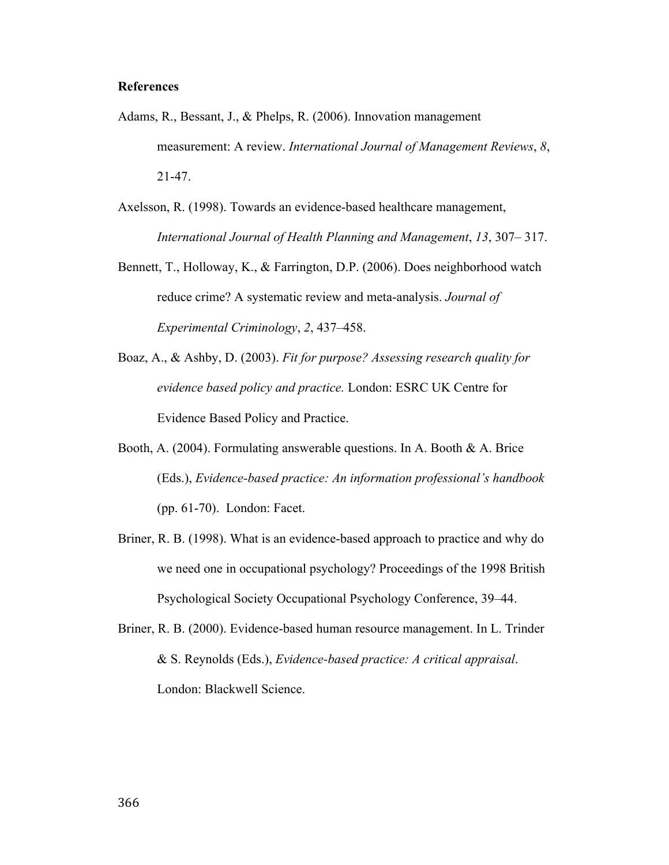# **References**

- Adams, R., Bessant, J., & Phelps, R. (2006). Innovation management measurement: A review. *International Journal of Management Reviews*, *8*, 21-47.
- Axelsson, R. (1998). Towards an evidence-based healthcare management, *International Journal of Health Planning and Management*, *13*, 307– 317.
- Bennett, T., Holloway, K., & Farrington, D.P. (2006). Does neighborhood watch reduce crime? A systematic review and meta-analysis. *Journal of Experimental Criminology*, *2*, 437–458.
- Boaz, A., & Ashby, D. (2003). *Fit for purpose? Assessing research quality for evidence based policy and practice.* London: ESRC UK Centre for Evidence Based Policy and Practice.
- Booth, A. (2004). Formulating answerable questions. In A. Booth & A. Brice (Eds.), *Evidence-based practice: An information professional's handbook* (pp. 61-70). London: Facet.
- Briner, R. B. (1998). What is an evidence-based approach to practice and why do we need one in occupational psychology? Proceedings of the 1998 British Psychological Society Occupational Psychology Conference, 39–44.
- Briner, R. B. (2000). Evidence-based human resource management. In L. Trinder & S. Reynolds (Eds.), *Evidence-based practice: A critical appraisal*. London: Blackwell Science.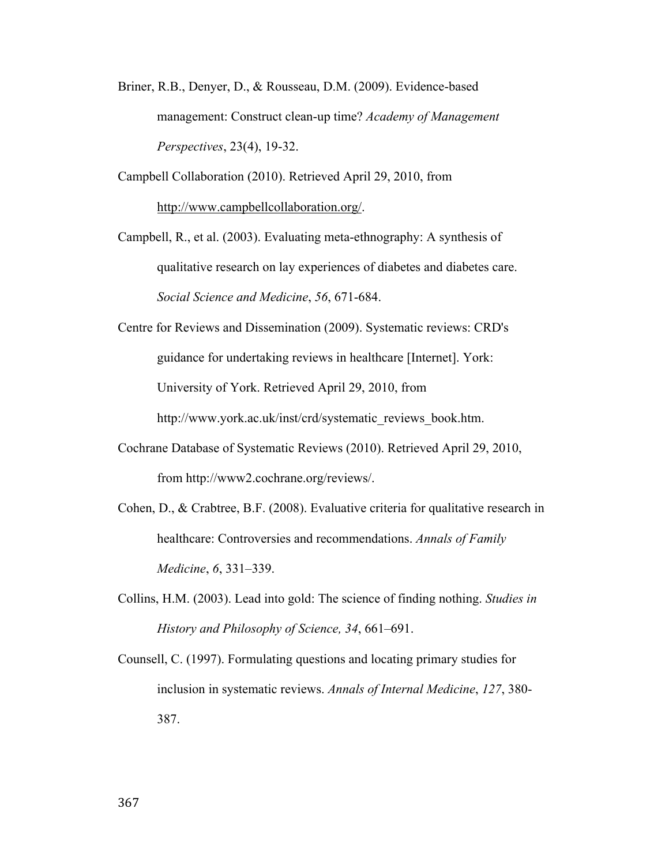Briner, R.B., Denyer, D., & Rousseau, D.M. (2009). Evidence-based management: Construct clean-up time? *Academy of Management Perspectives*, 23(4), 19-32.

Campbell Collaboration (2010). Retrieved April 29, 2010, from http://www.campbellcollaboration.org/.

Campbell, R., et al. (2003). Evaluating meta-ethnography: A synthesis of qualitative research on lay experiences of diabetes and diabetes care. *Social Science and Medicine*, *56*, 671-684.

Centre for Reviews and Dissemination (2009). Systematic reviews: CRD's guidance for undertaking reviews in healthcare [Internet]. York: University of York. Retrieved April 29, 2010, from http://www.york.ac.uk/inst/crd/systematic\_reviews\_book.htm.

- Cochrane Database of Systematic Reviews (2010). Retrieved April 29, 2010, from http://www2.cochrane.org/reviews/.
- Cohen, D., & Crabtree, B.F. (2008). Evaluative criteria for qualitative research in healthcare: Controversies and recommendations. *Annals of Family Medicine*, *6*, 331–339.
- Collins, H.M. (2003). Lead into gold: The science of finding nothing. *Studies in History and Philosophy of Science, 34*, 661–691.
- Counsell, C. (1997). Formulating questions and locating primary studies for inclusion in systematic reviews. *Annals of Internal Medicine*, *127*, 380- 387.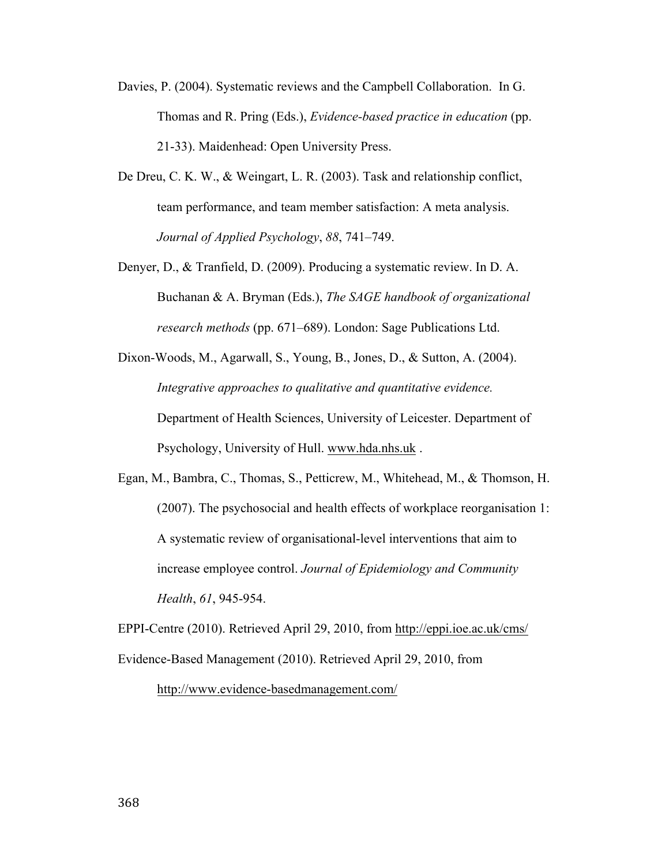- Davies, P. (2004). Systematic reviews and the Campbell Collaboration. In G. Thomas and R. Pring (Eds.), *Evidence-based practice in education* (pp. 21-33). Maidenhead: Open University Press.
- De Dreu, C. K. W., & Weingart, L. R. (2003). Task and relationship conflict, team performance, and team member satisfaction: A meta analysis. *Journal of Applied Psychology*, *88*, 741–749.
- Denyer, D., & Tranfield, D. (2009). Producing a systematic review. In D. A. Buchanan & A. Bryman (Eds.), *The SAGE handbook of organizational research methods* (pp. 671–689). London: Sage Publications Ltd.
- Dixon-Woods, M., Agarwall, S., Young, B., Jones, D., & Sutton, A. (2004). *Integrative approaches to qualitative and quantitative evidence.*  Department of Health Sciences, University of Leicester. Department of Psychology, University of Hull. www.hda.nhs.uk .
- Egan, M., Bambra, C., Thomas, S., Petticrew, M., Whitehead, M., & Thomson, H. (2007). The psychosocial and health effects of workplace reorganisation 1: A systematic review of organisational-level interventions that aim to increase employee control. *Journal of Epidemiology and Community Health*, *61*, 945-954.

EPPI-Centre (2010). Retrieved April 29, 2010, from http://eppi.ioe.ac.uk/cms/ Evidence-Based Management (2010). Retrieved April 29, 2010, from

http://www.evidence-basedmanagement.com/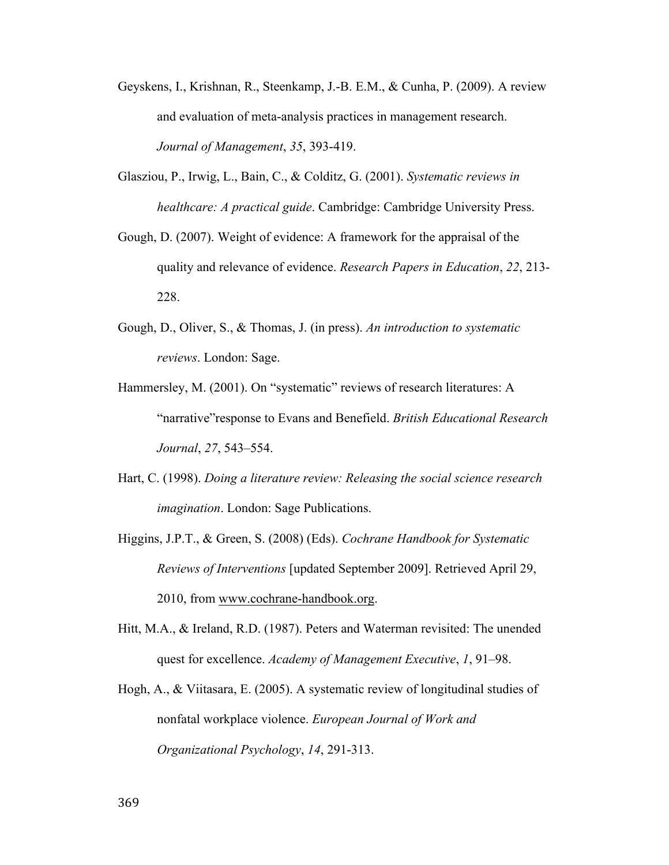- Geyskens, I., Krishnan, R., Steenkamp, J.-B. E.M., & Cunha, P. (2009). A review and evaluation of meta-analysis practices in management research. *Journal of Management*, *35*, 393-419.
- Glasziou, P., Irwig, L., Bain, C., & Colditz, G. (2001). *Systematic reviews in healthcare: A practical guide*. Cambridge: Cambridge University Press.
- Gough, D. (2007). Weight of evidence: A framework for the appraisal of the quality and relevance of evidence. *Research Papers in Education*, *22*, 213- 228.
- Gough, D., Oliver, S., & Thomas, J. (in press). *An introduction to systematic reviews*. London: Sage.
- Hammersley, M. (2001). On "systematic" reviews of research literatures: A "narrative"response to Evans and Benefield. *British Educational Research Journal*, *27*, 543–554.
- Hart, C. (1998). *Doing a literature review: Releasing the social science research imagination*. London: Sage Publications.
- Higgins, J.P.T., & Green, S. (2008) (Eds). *Cochrane Handbook for Systematic Reviews of Interventions* [updated September 2009]. Retrieved April 29, 2010, from www.cochrane-handbook.org.
- Hitt, M.A., & Ireland, R.D. (1987). Peters and Waterman revisited: The unended quest for excellence. *Academy of Management Executive*, *1*, 91–98.
- Hogh, A., & Viitasara, E. (2005). A systematic review of longitudinal studies of nonfatal workplace violence. *European Journal of Work and Organizational Psychology*, *14*, 291-313.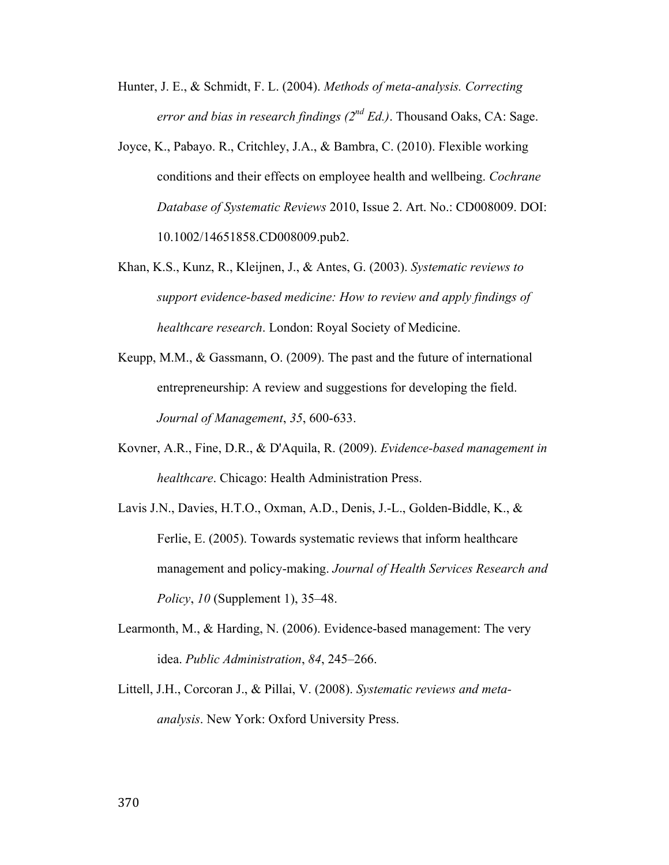- Hunter, J. E., & Schmidt, F. L. (2004). *Methods of meta-analysis. Correcting error and bias in research findings (2nd Ed.)*. Thousand Oaks, CA: Sage.
- Joyce, K., Pabayo. R., Critchley, J.A., & Bambra, C. (2010). Flexible working conditions and their effects on employee health and wellbeing. *Cochrane Database of Systematic Reviews* 2010, Issue 2. Art. No.: CD008009. DOI: 10.1002/14651858.CD008009.pub2.
- Khan, K.S., Kunz, R., Kleijnen, J., & Antes, G. (2003). *Systematic reviews to support evidence-based medicine: How to review and apply findings of healthcare research*. London: Royal Society of Medicine.
- Keupp, M.M., & Gassmann, O. (2009). The past and the future of international entrepreneurship: A review and suggestions for developing the field. *Journal of Management*, *35*, 600-633.
- Kovner, A.R., Fine, D.R., & D'Aquila, R. (2009). *Evidence-based management in healthcare*. Chicago: Health Administration Press.
- Lavis J.N., Davies, H.T.O., Oxman, A.D., Denis, J.-L., Golden-Biddle, K., & Ferlie, E. (2005). Towards systematic reviews that inform healthcare management and policy-making. *Journal of Health Services Research and Policy*, *10* (Supplement 1), 35–48.
- Learmonth, M., & Harding, N. (2006). Evidence-based management: The very idea. *Public Administration*, *84*, 245–266.
- Littell, J.H., Corcoran J., & Pillai, V. (2008). *Systematic reviews and metaanalysis*. New York: Oxford University Press.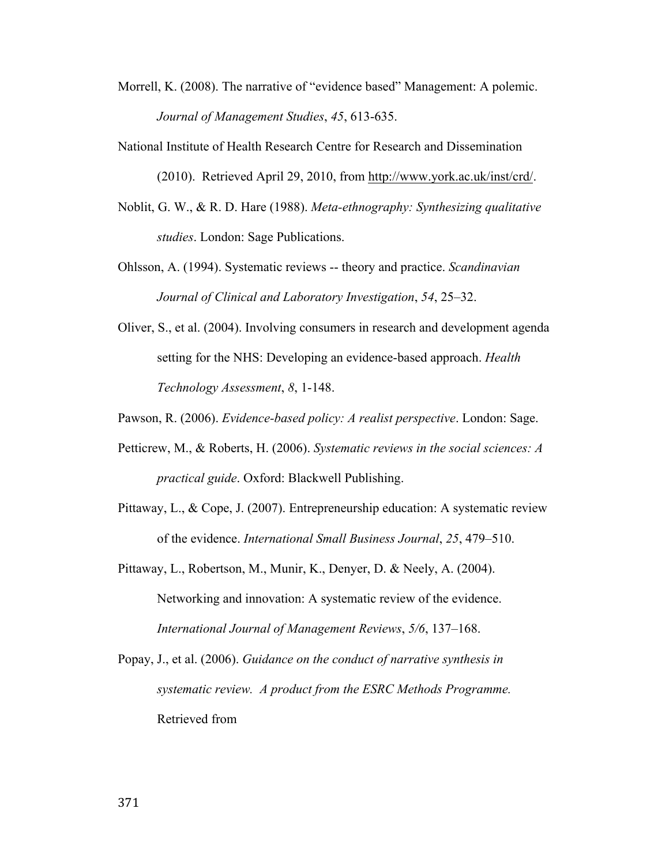- Morrell, K. (2008). The narrative of "evidence based" Management: A polemic. *Journal of Management Studies*, *45*, 613-635.
- National Institute of Health Research Centre for Research and Dissemination
	- (2010). Retrieved April 29, 2010, from http://www.york.ac.uk/inst/crd/.
- Noblit, G. W., & R. D. Hare (1988). *Meta-ethnography: Synthesizing qualitative studies*. London: Sage Publications.
- Ohlsson, A. (1994). Systematic reviews -- theory and practice. *Scandinavian Journal of Clinical and Laboratory Investigation*, *54*, 25–32.
- Oliver, S., et al. (2004). Involving consumers in research and development agenda setting for the NHS: Developing an evidence-based approach. *Health Technology Assessment*, *8*, 1-148.

Pawson, R. (2006). *Evidence-based policy: A realist perspective*. London: Sage.

- Petticrew, M., & Roberts, H. (2006). *Systematic reviews in the social sciences: A practical guide*. Oxford: Blackwell Publishing.
- Pittaway, L., & Cope, J. (2007). Entrepreneurship education: A systematic review of the evidence. *International Small Business Journal*, *25*, 479–510.
- Pittaway, L., Robertson, M., Munir, K., Denyer, D. & Neely, A. (2004). Networking and innovation: A systematic review of the evidence. *International Journal of Management Reviews*, *5/6*, 137–168.
- Popay, J., et al. (2006). *Guidance on the conduct of narrative synthesis in systematic review. A product from the ESRC Methods Programme.*  Retrieved from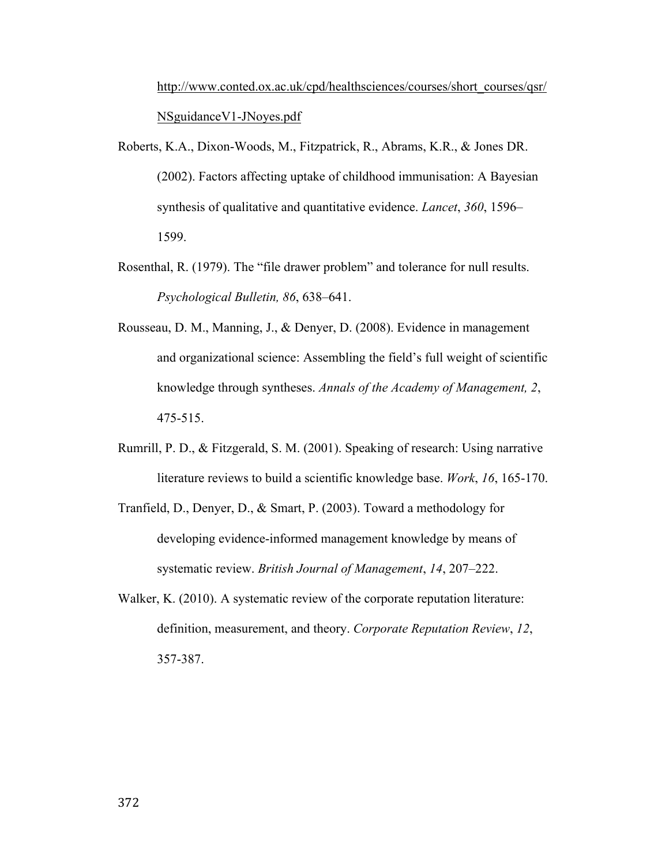http://www.conted.ox.ac.uk/cpd/healthsciences/courses/short\_courses/qsr/ NSguidanceV1-JNoyes.pdf

- Roberts, K.A., Dixon-Woods, M., Fitzpatrick, R., Abrams, K.R., & Jones DR. (2002). Factors affecting uptake of childhood immunisation: A Bayesian synthesis of qualitative and quantitative evidence. *Lancet*, *360*, 1596– 1599.
- Rosenthal, R. (1979). The "file drawer problem" and tolerance for null results. *Psychological Bulletin, 86*, 638–641.
- Rousseau, D. M., Manning, J., & Denyer, D. (2008). Evidence in management and organizational science: Assembling the field's full weight of scientific knowledge through syntheses. *Annals of the Academy of Management, 2*, 475-515.
- Rumrill, P. D., & Fitzgerald, S. M. (2001). Speaking of research: Using narrative literature reviews to build a scientific knowledge base. *Work*, *16*, 165-170.
- Tranfield, D., Denyer, D., & Smart, P. (2003). Toward a methodology for developing evidence-informed management knowledge by means of systematic review. *British Journal of Management*, *14*, 207–222.
- Walker, K. (2010). A systematic review of the corporate reputation literature: definition, measurement, and theory. *Corporate Reputation Review*, *12*, 357-387.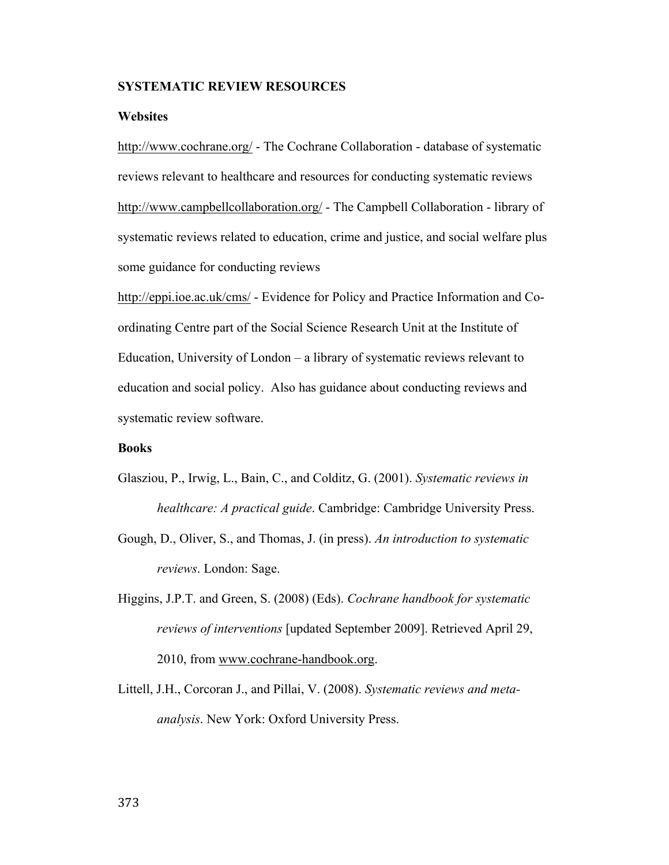# **SYSTEMATIC REVIEW RESOURCES**

#### **Websites**

http://www.cochrane.org/ - The Cochrane Collaboration - database of systematic reviews relevant to healthcare and resources for conducting systematic reviews http://www.campbellcollaboration.org/ - The Campbell Collaboration - library of systematic reviews related to education, crime and justice, and social welfare plus some guidance for conducting reviews

http://eppi.ioe.ac.uk/cms/ - Evidence for Policy and Practice Information and Coordinating Centre part of the Social Science Research Unit at the Institute of Education, University of London – a library of systematic reviews relevant to education and social policy. Also has guidance about conducting reviews and systematic review software.

# **Books**

- Glasziou, P., Irwig, L., Bain, C., and Colditz, G. (2001). *Systematic reviews in healthcare: A practical guide*. Cambridge: Cambridge University Press.
- Gough, D., Oliver, S., and Thomas, J. (in press). *An introduction to systematic reviews*. London: Sage.
- Higgins, J.P.T. and Green, S. (2008) (Eds). *Cochrane handbook for systematic reviews of interventions* [updated September 2009]. Retrieved April 29, 2010, from www.cochrane-handbook.org.
- Littell, J.H., Corcoran J., and Pillai, V. (2008). *Systematic reviews and metaanalysis*. New York: Oxford University Press.